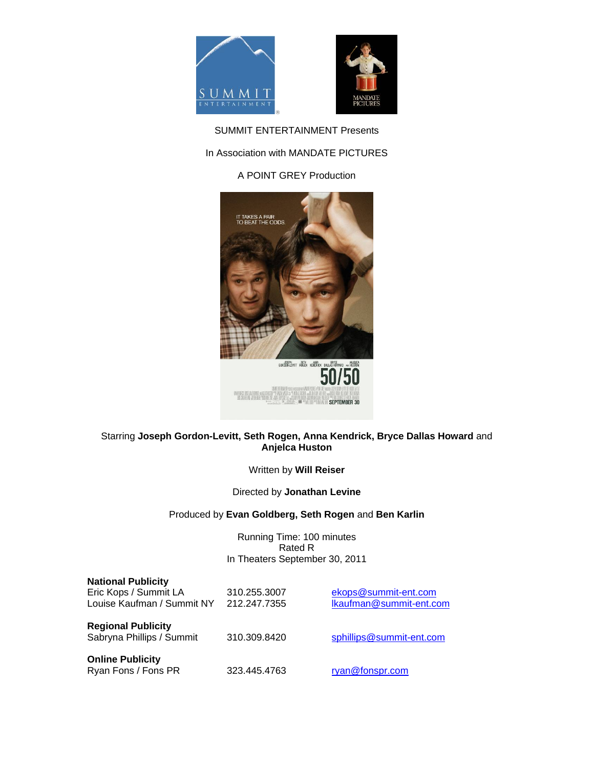



SUMMIT ENTERTAINMENT Presents

# In Association with MANDATE PICTURES

# A POINT GREY Production



## Starring **Joseph Gordon-Levitt, Seth Rogen, Anna Kendrick, Bryce Dallas Howard** and **Anjelca Huston**

Written by **Will Reiser**

Directed by **Jonathan Levine**

## Produced by **Evan Goldberg, Seth Rogen** and **Ben Karlin**

Running Time: 100 minutes Rated R In Theaters September 30, 2011

| <b>National Publicity</b><br>Eric Kops / Summit LA<br>Louise Kaufman / Summit NY | 310.255.3007<br>212.247.7355 | ekops@summit-ent.com<br>Ikaufman@summit-ent.com |
|----------------------------------------------------------------------------------|------------------------------|-------------------------------------------------|
| <b>Regional Publicity</b><br>Sabryna Phillips / Summit                           | 310.309.8420                 | sphillips@summit-ent.com                        |
| <b>Online Publicity</b><br>Ryan Fons / Fons PR                                   | 323.445.4763                 | ryan@fonspr.com                                 |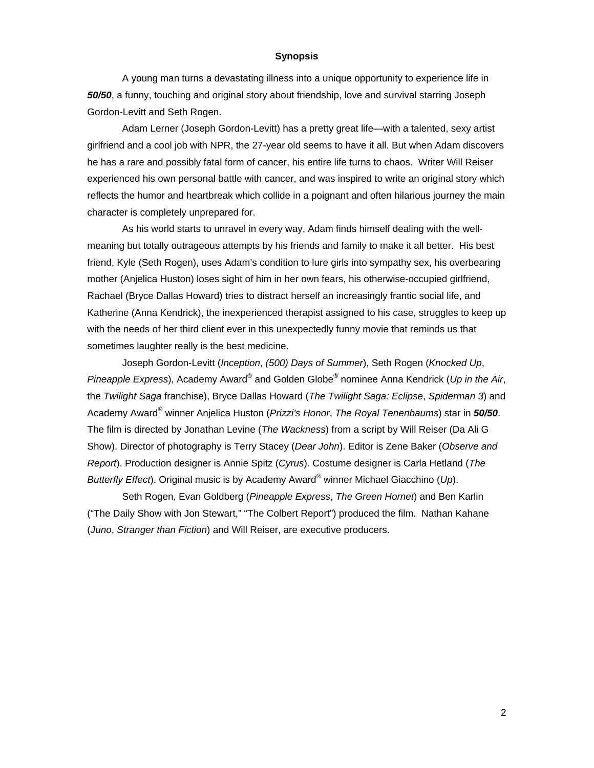#### **Synopsis**

A young man turns a devastating illness into a unique opportunity to experience life in *50/50*, a funny, touching and original story about friendship, love and survival starring Joseph Gordon-Levitt and Seth Rogen.

 Adam Lerner (Joseph Gordon-Levitt) has a pretty great life—with a talented, sexy artist girlfriend and a cool job with NPR, the 27-year old seems to have it all. But when Adam discovers he has a rare and possibly fatal form of cancer, his entire life turns to chaos. Writer Will Reiser experienced his own personal battle with cancer, and was inspired to write an original story which reflects the humor and heartbreak which collide in a poignant and often hilarious journey the main character is completely unprepared for.

As his world starts to unravel in every way, Adam finds himself dealing with the wellmeaning but totally outrageous attempts by his friends and family to make it all better. His best friend, Kyle (Seth Rogen), uses Adam's condition to lure girls into sympathy sex, his overbearing mother (Anjelica Huston) loses sight of him in her own fears, his otherwise-occupied girlfriend, Rachael (Bryce Dallas Howard) tries to distract herself an increasingly frantic social life, and Katherine (Anna Kendrick), the inexperienced therapist assigned to his case, struggles to keep up with the needs of her third client ever in this unexpectedly funny movie that reminds us that sometimes laughter really is the best medicine.

Joseph Gordon-Levitt (*Inception*, *(500) Days of Summer*), Seth Rogen (*Knocked Up*, Pineapple Express), Academy Award® and Golden Globe<sup>®</sup> nominee Anna Kendrick (Up in the Air, the *Twilight Saga* franchise), Bryce Dallas Howard (*The Twilight Saga: Eclipse*, *Spiderman 3*) and Academy Award® winner Anjelica Huston (*Prizzi's Honor*, *The Royal Tenenbaums*) star in *50/50*. The film is directed by Jonathan Levine (*The Wackness*) from a script by Will Reiser (Da Ali G Show). Director of photography is Terry Stacey (*Dear John*). Editor is Zene Baker (*Observe and Report*). Production designer is Annie Spitz (*Cyrus*). Costume designer is Carla Hetland (*The Butterfly Effect*). Original music is by Academy Award® winner Michael Giacchino (*Up*).

Seth Rogen, Evan Goldberg (*Pineapple Express*, *The Green Hornet*) and Ben Karlin ("The Daily Show with Jon Stewart," "The Colbert Report") produced the film. Nathan Kahane (*Juno*, *Stranger than Fiction*) and Will Reiser, are executive producers.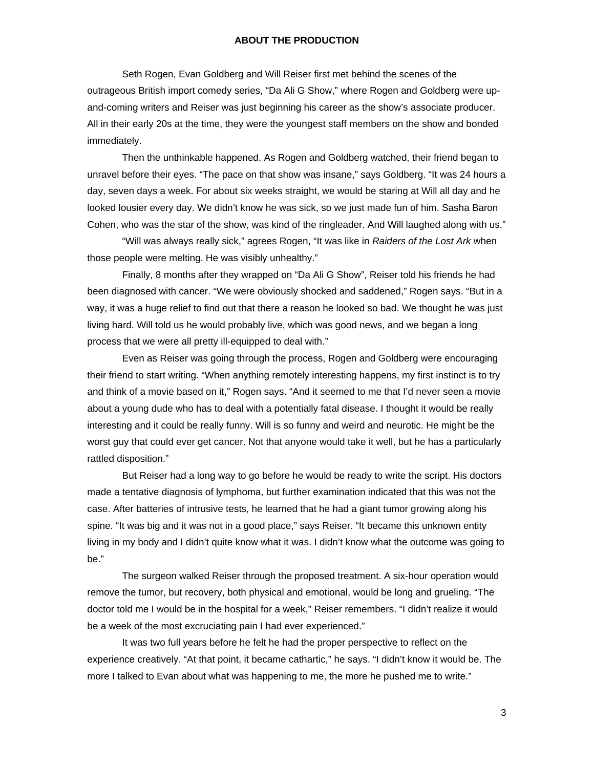#### **ABOUT THE PRODUCTION**

Seth Rogen, Evan Goldberg and Will Reiser first met behind the scenes of the outrageous British import comedy series, "Da Ali G Show," where Rogen and Goldberg were upand-coming writers and Reiser was just beginning his career as the show's associate producer. All in their early 20s at the time, they were the youngest staff members on the show and bonded immediately.

Then the unthinkable happened. As Rogen and Goldberg watched, their friend began to unravel before their eyes. "The pace on that show was insane," says Goldberg. "It was 24 hours a day, seven days a week. For about six weeks straight, we would be staring at Will all day and he looked lousier every day. We didn't know he was sick, so we just made fun of him. Sasha Baron Cohen, who was the star of the show, was kind of the ringleader. And Will laughed along with us."

"Will was always really sick," agrees Rogen, "It was like in *Raiders of the Lost Ark* when those people were melting. He was visibly unhealthy."

Finally, 8 months after they wrapped on "Da Ali G Show", Reiser told his friends he had been diagnosed with cancer. "We were obviously shocked and saddened," Rogen says. "But in a way, it was a huge relief to find out that there a reason he looked so bad. We thought he was just living hard. Will told us he would probably live, which was good news, and we began a long process that we were all pretty ill-equipped to deal with."

Even as Reiser was going through the process, Rogen and Goldberg were encouraging their friend to start writing. "When anything remotely interesting happens, my first instinct is to try and think of a movie based on it," Rogen says. "And it seemed to me that I'd never seen a movie about a young dude who has to deal with a potentially fatal disease. I thought it would be really interesting and it could be really funny. Will is so funny and weird and neurotic. He might be the worst guy that could ever get cancer. Not that anyone would take it well, but he has a particularly rattled disposition."

 But Reiser had a long way to go before he would be ready to write the script. His doctors made a tentative diagnosis of lymphoma, but further examination indicated that this was not the case. After batteries of intrusive tests, he learned that he had a giant tumor growing along his spine. "It was big and it was not in a good place," says Reiser. "It became this unknown entity living in my body and I didn't quite know what it was. I didn't know what the outcome was going to be."

 The surgeon walked Reiser through the proposed treatment. A six-hour operation would remove the tumor, but recovery, both physical and emotional, would be long and grueling. "The doctor told me I would be in the hospital for a week," Reiser remembers. "I didn't realize it would be a week of the most excruciating pain I had ever experienced."

It was two full years before he felt he had the proper perspective to reflect on the experience creatively. "At that point, it became cathartic," he says. "I didn't know it would be. The more I talked to Evan about what was happening to me, the more he pushed me to write."

3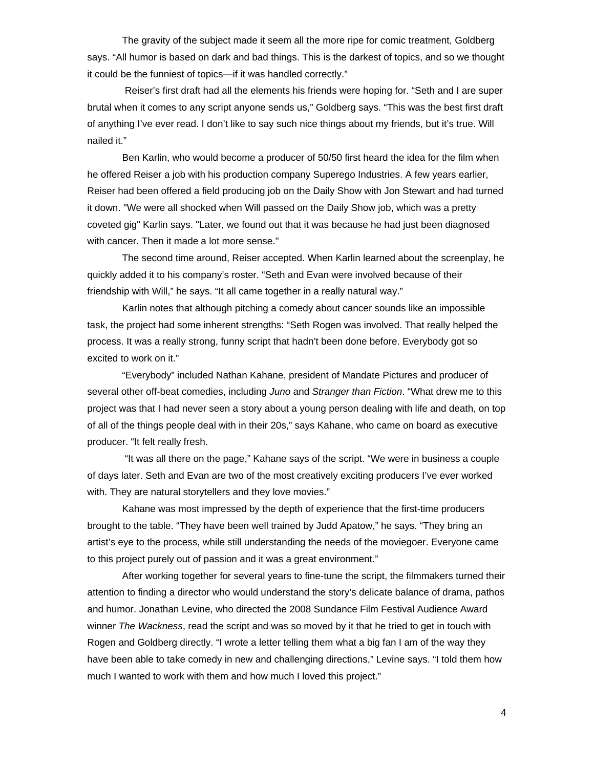The gravity of the subject made it seem all the more ripe for comic treatment, Goldberg says. "All humor is based on dark and bad things. This is the darkest of topics, and so we thought it could be the funniest of topics—if it was handled correctly."

 Reiser's first draft had all the elements his friends were hoping for. "Seth and I are super brutal when it comes to any script anyone sends us," Goldberg says. "This was the best first draft of anything I've ever read. I don't like to say such nice things about my friends, but it's true. Will nailed it."

Ben Karlin, who would become a producer of 50/50 first heard the idea for the film when he offered Reiser a job with his production company Superego Industries. A few years earlier, Reiser had been offered a field producing job on the Daily Show with Jon Stewart and had turned it down. "We were all shocked when Will passed on the Daily Show job, which was a pretty coveted gig" Karlin says. "Later, we found out that it was because he had just been diagnosed with cancer. Then it made a lot more sense."

The second time around, Reiser accepted. When Karlin learned about the screenplay, he quickly added it to his company's roster. "Seth and Evan were involved because of their friendship with Will," he says. "It all came together in a really natural way."

 Karlin notes that although pitching a comedy about cancer sounds like an impossible task, the project had some inherent strengths: "Seth Rogen was involved. That really helped the process. It was a really strong, funny script that hadn't been done before. Everybody got so excited to work on it."

"Everybody" included Nathan Kahane, president of Mandate Pictures and producer of several other off-beat comedies, including *Juno* and *Stranger than Fiction*. "What drew me to this project was that I had never seen a story about a young person dealing with life and death, on top of all of the things people deal with in their 20s," says Kahane, who came on board as executive producer. "It felt really fresh.

 "It was all there on the page," Kahane says of the script. "We were in business a couple of days later. Seth and Evan are two of the most creatively exciting producers I've ever worked with. They are natural storytellers and they love movies."

Kahane was most impressed by the depth of experience that the first-time producers brought to the table. "They have been well trained by Judd Apatow," he says. "They bring an artist's eye to the process, while still understanding the needs of the moviegoer. Everyone came to this project purely out of passion and it was a great environment."

 After working together for several years to fine-tune the script, the filmmakers turned their attention to finding a director who would understand the story's delicate balance of drama, pathos and humor. Jonathan Levine, who directed the 2008 Sundance Film Festival Audience Award winner *The Wackness*, read the script and was so moved by it that he tried to get in touch with Rogen and Goldberg directly. "I wrote a letter telling them what a big fan I am of the way they have been able to take comedy in new and challenging directions," Levine says. "I told them how much I wanted to work with them and how much I loved this project."

4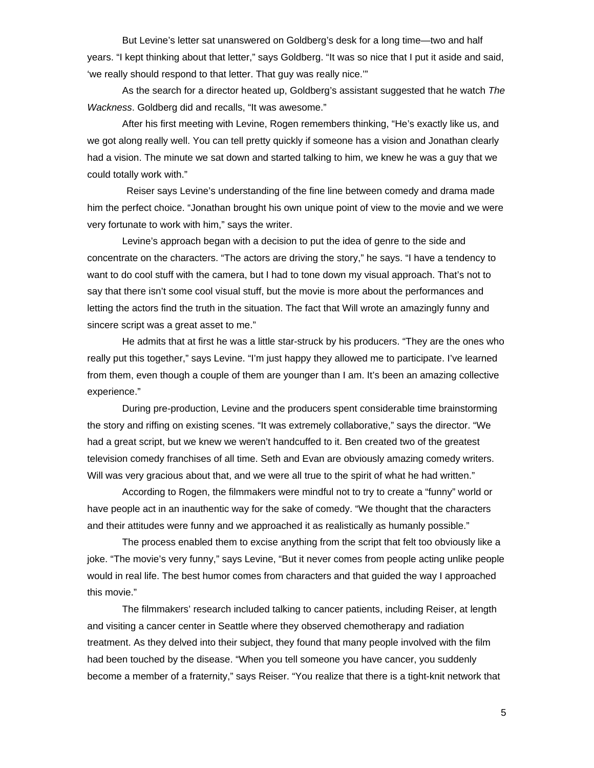But Levine's letter sat unanswered on Goldberg's desk for a long time—two and half years. "I kept thinking about that letter," says Goldberg. "It was so nice that I put it aside and said, 'we really should respond to that letter. That guy was really nice.'"

As the search for a director heated up, Goldberg's assistant suggested that he watch *The Wackness*. Goldberg did and recalls, "It was awesome."

After his first meeting with Levine, Rogen remembers thinking, "He's exactly like us, and we got along really well. You can tell pretty quickly if someone has a vision and Jonathan clearly had a vision. The minute we sat down and started talking to him, we knew he was a guy that we could totally work with."

 Reiser says Levine's understanding of the fine line between comedy and drama made him the perfect choice. "Jonathan brought his own unique point of view to the movie and we were very fortunate to work with him," says the writer.

Levine's approach began with a decision to put the idea of genre to the side and concentrate on the characters. "The actors are driving the story," he says. "I have a tendency to want to do cool stuff with the camera, but I had to tone down my visual approach. That's not to say that there isn't some cool visual stuff, but the movie is more about the performances and letting the actors find the truth in the situation. The fact that Will wrote an amazingly funny and sincere script was a great asset to me."

He admits that at first he was a little star-struck by his producers. "They are the ones who really put this together," says Levine. "I'm just happy they allowed me to participate. I've learned from them, even though a couple of them are younger than I am. It's been an amazing collective experience."

During pre-production, Levine and the producers spent considerable time brainstorming the story and riffing on existing scenes. "It was extremely collaborative," says the director. "We had a great script, but we knew we weren't handcuffed to it. Ben created two of the greatest television comedy franchises of all time. Seth and Evan are obviously amazing comedy writers. Will was very gracious about that, and we were all true to the spirit of what he had written."

 According to Rogen, the filmmakers were mindful not to try to create a "funny" world or have people act in an inauthentic way for the sake of comedy. "We thought that the characters and their attitudes were funny and we approached it as realistically as humanly possible."

 The process enabled them to excise anything from the script that felt too obviously like a joke. "The movie's very funny," says Levine, "But it never comes from people acting unlike people would in real life. The best humor comes from characters and that guided the way I approached this movie."

 The filmmakers' research included talking to cancer patients, including Reiser, at length and visiting a cancer center in Seattle where they observed chemotherapy and radiation treatment. As they delved into their subject, they found that many people involved with the film had been touched by the disease. "When you tell someone you have cancer, you suddenly become a member of a fraternity," says Reiser. "You realize that there is a tight-knit network that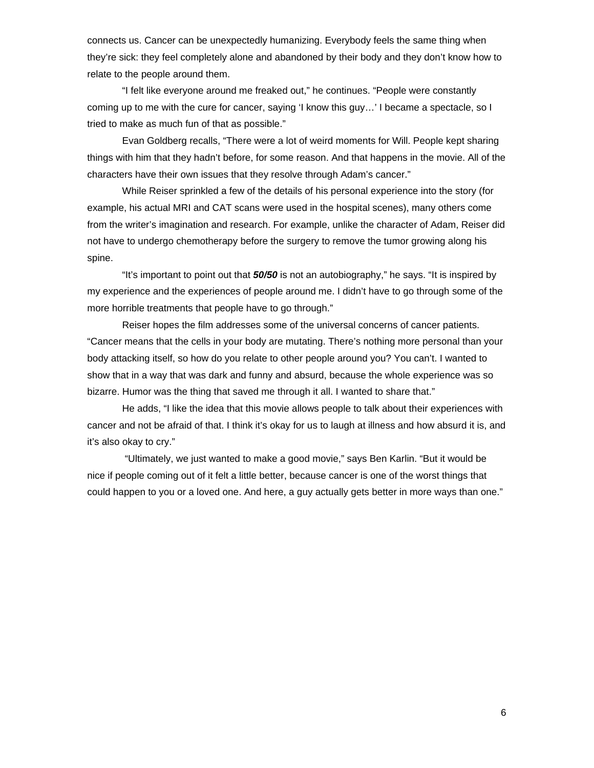connects us. Cancer can be unexpectedly humanizing. Everybody feels the same thing when they're sick: they feel completely alone and abandoned by their body and they don't know how to relate to the people around them.

"I felt like everyone around me freaked out," he continues. "People were constantly coming up to me with the cure for cancer, saying 'I know this guy…' I became a spectacle, so I tried to make as much fun of that as possible."

Evan Goldberg recalls, "There were a lot of weird moments for Will. People kept sharing things with him that they hadn't before, for some reason. And that happens in the movie. All of the characters have their own issues that they resolve through Adam's cancer."

While Reiser sprinkled a few of the details of his personal experience into the story (for example, his actual MRI and CAT scans were used in the hospital scenes), many others come from the writer's imagination and research. For example, unlike the character of Adam, Reiser did not have to undergo chemotherapy before the surgery to remove the tumor growing along his spine.

"It's important to point out that *50/50* is not an autobiography," he says. "It is inspired by my experience and the experiences of people around me. I didn't have to go through some of the more horrible treatments that people have to go through."

 Reiser hopes the film addresses some of the universal concerns of cancer patients. "Cancer means that the cells in your body are mutating. There's nothing more personal than your body attacking itself, so how do you relate to other people around you? You can't. I wanted to show that in a way that was dark and funny and absurd, because the whole experience was so bizarre. Humor was the thing that saved me through it all. I wanted to share that."

 He adds, "I like the idea that this movie allows people to talk about their experiences with cancer and not be afraid of that. I think it's okay for us to laugh at illness and how absurd it is, and it's also okay to cry."

 "Ultimately, we just wanted to make a good movie," says Ben Karlin. "But it would be nice if people coming out of it felt a little better, because cancer is one of the worst things that could happen to you or a loved one. And here, a guy actually gets better in more ways than one."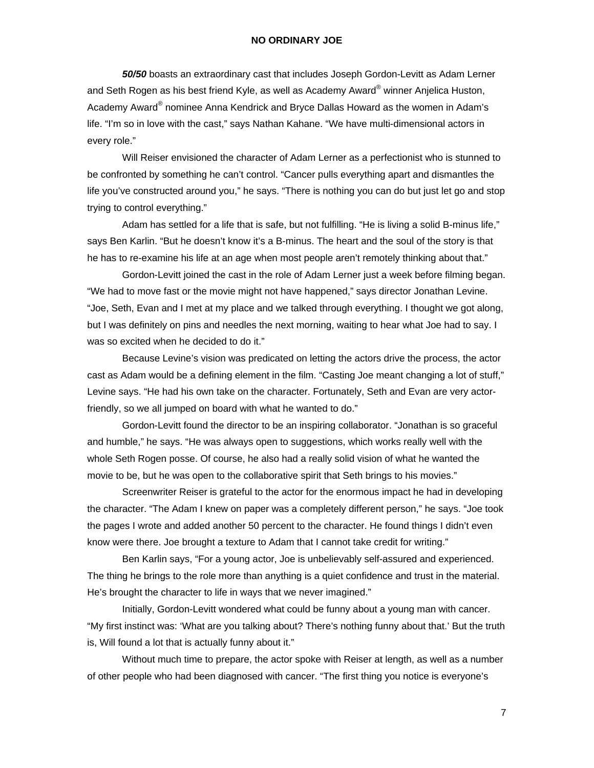### **NO ORDINARY JOE**

*50/50* boasts an extraordinary cast that includes Joseph Gordon-Levitt as Adam Lerner and Seth Rogen as his best friend Kyle, as well as Academy Award® winner Anjelica Huston, Academy Award® nominee Anna Kendrick and Bryce Dallas Howard as the women in Adam's life. "I'm so in love with the cast," says Nathan Kahane. "We have multi-dimensional actors in every role."

Will Reiser envisioned the character of Adam Lerner as a perfectionist who is stunned to be confronted by something he can't control. "Cancer pulls everything apart and dismantles the life you've constructed around you," he says. "There is nothing you can do but just let go and stop trying to control everything."

Adam has settled for a life that is safe, but not fulfilling. "He is living a solid B-minus life," says Ben Karlin. "But he doesn't know it's a B-minus. The heart and the soul of the story is that he has to re-examine his life at an age when most people aren't remotely thinking about that."

Gordon-Levitt joined the cast in the role of Adam Lerner just a week before filming began. "We had to move fast or the movie might not have happened," says director Jonathan Levine. "Joe, Seth, Evan and I met at my place and we talked through everything. I thought we got along, but I was definitely on pins and needles the next morning, waiting to hear what Joe had to say. I was so excited when he decided to do it."

 Because Levine's vision was predicated on letting the actors drive the process, the actor cast as Adam would be a defining element in the film. "Casting Joe meant changing a lot of stuff," Levine says. "He had his own take on the character. Fortunately, Seth and Evan are very actorfriendly, so we all jumped on board with what he wanted to do."

Gordon-Levitt found the director to be an inspiring collaborator. "Jonathan is so graceful and humble," he says. "He was always open to suggestions, which works really well with the whole Seth Rogen posse. Of course, he also had a really solid vision of what he wanted the movie to be, but he was open to the collaborative spirit that Seth brings to his movies."

Screenwriter Reiser is grateful to the actor for the enormous impact he had in developing the character. "The Adam I knew on paper was a completely different person," he says. "Joe took the pages I wrote and added another 50 percent to the character. He found things I didn't even know were there. Joe brought a texture to Adam that I cannot take credit for writing."

Ben Karlin says, "For a young actor, Joe is unbelievably self-assured and experienced. The thing he brings to the role more than anything is a quiet confidence and trust in the material. He's brought the character to life in ways that we never imagined."

Initially, Gordon-Levitt wondered what could be funny about a young man with cancer. "My first instinct was: 'What are you talking about? There's nothing funny about that.' But the truth is, Will found a lot that is actually funny about it."

Without much time to prepare, the actor spoke with Reiser at length, as well as a number of other people who had been diagnosed with cancer. "The first thing you notice is everyone's

7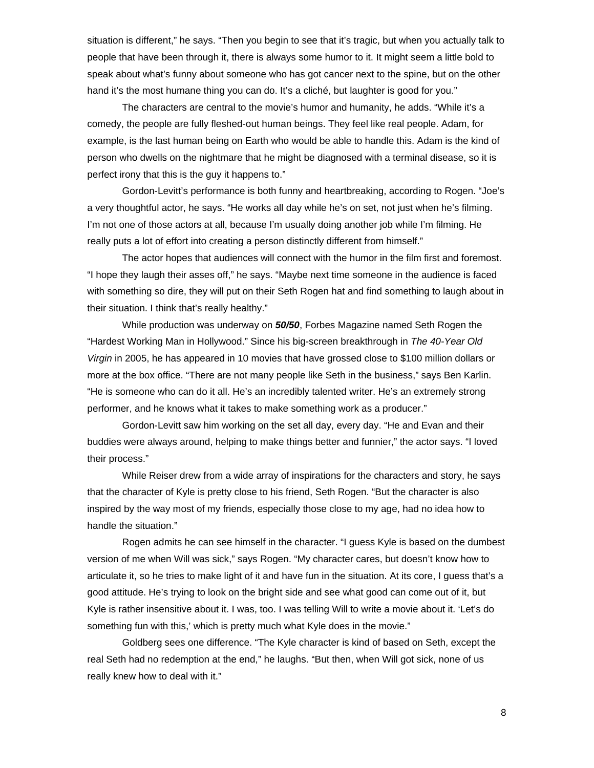situation is different," he says. "Then you begin to see that it's tragic, but when you actually talk to people that have been through it, there is always some humor to it. It might seem a little bold to speak about what's funny about someone who has got cancer next to the spine, but on the other hand it's the most humane thing you can do. It's a cliché, but laughter is good for you."

The characters are central to the movie's humor and humanity, he adds. "While it's a comedy, the people are fully fleshed-out human beings. They feel like real people. Adam, for example, is the last human being on Earth who would be able to handle this. Adam is the kind of person who dwells on the nightmare that he might be diagnosed with a terminal disease, so it is perfect irony that this is the guy it happens to."

Gordon-Levitt's performance is both funny and heartbreaking, according to Rogen. "Joe's a very thoughtful actor, he says. "He works all day while he's on set, not just when he's filming. I'm not one of those actors at all, because I'm usually doing another job while I'm filming. He really puts a lot of effort into creating a person distinctly different from himself."

 The actor hopes that audiences will connect with the humor in the film first and foremost. "I hope they laugh their asses off," he says. "Maybe next time someone in the audience is faced with something so dire, they will put on their Seth Rogen hat and find something to laugh about in their situation. I think that's really healthy."

While production was underway on *50/50*, Forbes Magazine named Seth Rogen the "Hardest Working Man in Hollywood." Since his big-screen breakthrough in *The 40-Year Old Virgin* in 2005, he has appeared in 10 movies that have grossed close to \$100 million dollars or more at the box office. "There are not many people like Seth in the business," says Ben Karlin. "He is someone who can do it all. He's an incredibly talented writer. He's an extremely strong performer, and he knows what it takes to make something work as a producer."

Gordon-Levitt saw him working on the set all day, every day. "He and Evan and their buddies were always around, helping to make things better and funnier," the actor says. "I loved their process."

 While Reiser drew from a wide array of inspirations for the characters and story, he says that the character of Kyle is pretty close to his friend, Seth Rogen. "But the character is also inspired by the way most of my friends, especially those close to my age, had no idea how to handle the situation."

 Rogen admits he can see himself in the character. "I guess Kyle is based on the dumbest version of me when Will was sick," says Rogen. "My character cares, but doesn't know how to articulate it, so he tries to make light of it and have fun in the situation. At its core, I guess that's a good attitude. He's trying to look on the bright side and see what good can come out of it, but Kyle is rather insensitive about it. I was, too. I was telling Will to write a movie about it. 'Let's do something fun with this,' which is pretty much what Kyle does in the movie."

 Goldberg sees one difference. "The Kyle character is kind of based on Seth, except the real Seth had no redemption at the end," he laughs. "But then, when Will got sick, none of us really knew how to deal with it."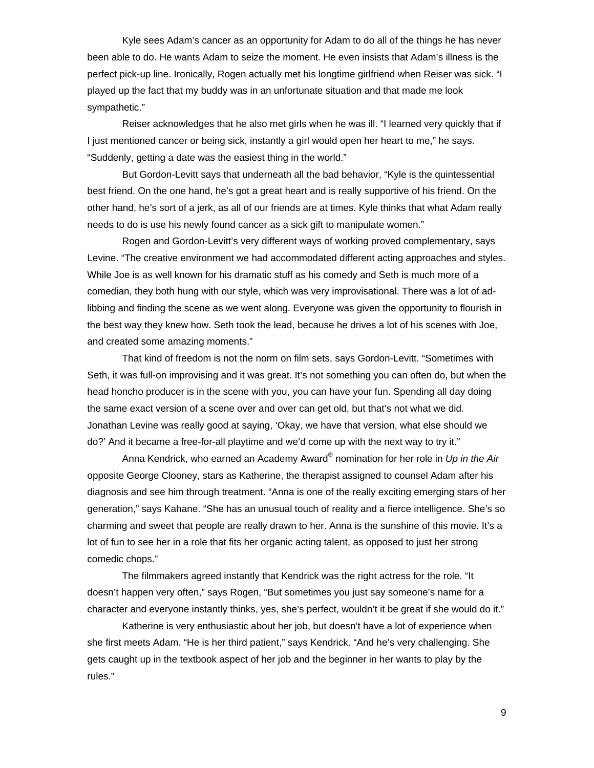Kyle sees Adam's cancer as an opportunity for Adam to do all of the things he has never been able to do. He wants Adam to seize the moment. He even insists that Adam's illness is the perfect pick-up line. Ironically, Rogen actually met his longtime girlfriend when Reiser was sick. "I played up the fact that my buddy was in an unfortunate situation and that made me look sympathetic."

 Reiser acknowledges that he also met girls when he was ill. "I learned very quickly that if I just mentioned cancer or being sick, instantly a girl would open her heart to me," he says. "Suddenly, getting a date was the easiest thing in the world."

 But Gordon-Levitt says that underneath all the bad behavior, "Kyle is the quintessential best friend. On the one hand, he's got a great heart and is really supportive of his friend. On the other hand, he's sort of a jerk, as all of our friends are at times. Kyle thinks that what Adam really needs to do is use his newly found cancer as a sick gift to manipulate women."

 Rogen and Gordon-Levitt's very different ways of working proved complementary, says Levine. "The creative environment we had accommodated different acting approaches and styles. While Joe is as well known for his dramatic stuff as his comedy and Seth is much more of a comedian, they both hung with our style, which was very improvisational. There was a lot of adlibbing and finding the scene as we went along. Everyone was given the opportunity to flourish in the best way they knew how. Seth took the lead, because he drives a lot of his scenes with Joe, and created some amazing moments."

 That kind of freedom is not the norm on film sets, says Gordon-Levitt. "Sometimes with Seth, it was full-on improvising and it was great. It's not something you can often do, but when the head honcho producer is in the scene with you, you can have your fun. Spending all day doing the same exact version of a scene over and over can get old, but that's not what we did. Jonathan Levine was really good at saying, 'Okay, we have that version, what else should we do?' And it became a free-for-all playtime and we'd come up with the next way to try it."

Anna Kendrick, who earned an Academy Award<sup>®</sup> nomination for her role in *Up in the Air* opposite George Clooney, stars as Katherine, the therapist assigned to counsel Adam after his diagnosis and see him through treatment. "Anna is one of the really exciting emerging stars of her generation," says Kahane. "She has an unusual touch of reality and a fierce intelligence. She's so charming and sweet that people are really drawn to her. Anna is the sunshine of this movie. It's a lot of fun to see her in a role that fits her organic acting talent, as opposed to just her strong comedic chops."

The filmmakers agreed instantly that Kendrick was the right actress for the role. "It doesn't happen very often," says Rogen, "But sometimes you just say someone's name for a character and everyone instantly thinks, yes, she's perfect, wouldn't it be great if she would do it."

Katherine is very enthusiastic about her job, but doesn't have a lot of experience when she first meets Adam. "He is her third patient," says Kendrick. "And he's very challenging. She gets caught up in the textbook aspect of her job and the beginner in her wants to play by the rules."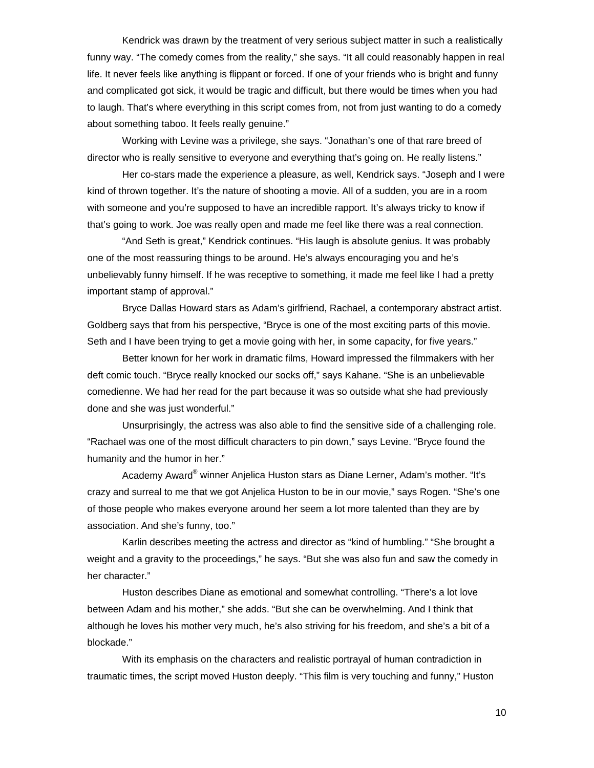Kendrick was drawn by the treatment of very serious subject matter in such a realistically funny way. "The comedy comes from the reality," she says. "It all could reasonably happen in real life. It never feels like anything is flippant or forced. If one of your friends who is bright and funny and complicated got sick, it would be tragic and difficult, but there would be times when you had to laugh. That's where everything in this script comes from, not from just wanting to do a comedy about something taboo. It feels really genuine."

 Working with Levine was a privilege, she says. "Jonathan's one of that rare breed of director who is really sensitive to everyone and everything that's going on. He really listens."

 Her co-stars made the experience a pleasure, as well, Kendrick says. "Joseph and I were kind of thrown together. It's the nature of shooting a movie. All of a sudden, you are in a room with someone and you're supposed to have an incredible rapport. It's always tricky to know if that's going to work. Joe was really open and made me feel like there was a real connection.

 "And Seth is great," Kendrick continues. "His laugh is absolute genius. It was probably one of the most reassuring things to be around. He's always encouraging you and he's unbelievably funny himself. If he was receptive to something, it made me feel like I had a pretty important stamp of approval."

 Bryce Dallas Howard stars as Adam's girlfriend, Rachael, a contemporary abstract artist. Goldberg says that from his perspective, "Bryce is one of the most exciting parts of this movie. Seth and I have been trying to get a movie going with her, in some capacity, for five years."

Better known for her work in dramatic films, Howard impressed the filmmakers with her deft comic touch. "Bryce really knocked our socks off," says Kahane. "She is an unbelievable comedienne. We had her read for the part because it was so outside what she had previously done and she was just wonderful."

Unsurprisingly, the actress was also able to find the sensitive side of a challenging role. "Rachael was one of the most difficult characters to pin down," says Levine. "Bryce found the humanity and the humor in her."

Academy Award® winner Anjelica Huston stars as Diane Lerner, Adam's mother. "It's crazy and surreal to me that we got Anjelica Huston to be in our movie," says Rogen. "She's one of those people who makes everyone around her seem a lot more talented than they are by association. And she's funny, too."

Karlin describes meeting the actress and director as "kind of humbling." "She brought a weight and a gravity to the proceedings," he says. "But she was also fun and saw the comedy in her character."

Huston describes Diane as emotional and somewhat controlling. "There's a lot love between Adam and his mother," she adds. "But she can be overwhelming. And I think that although he loves his mother very much, he's also striving for his freedom, and she's a bit of a blockade."

 With its emphasis on the characters and realistic portrayal of human contradiction in traumatic times, the script moved Huston deeply. "This film is very touching and funny," Huston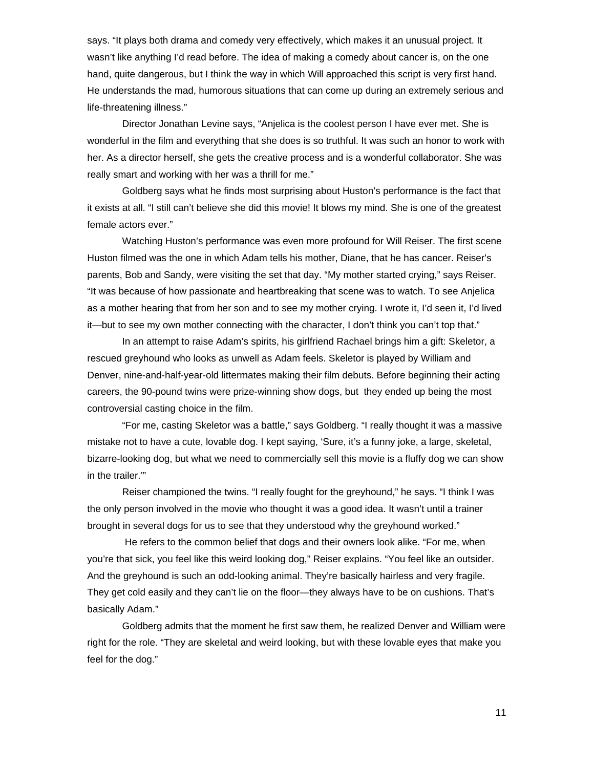says. "It plays both drama and comedy very effectively, which makes it an unusual project. It wasn't like anything I'd read before. The idea of making a comedy about cancer is, on the one hand, quite dangerous, but I think the way in which Will approached this script is very first hand. He understands the mad, humorous situations that can come up during an extremely serious and life-threatening illness."

Director Jonathan Levine says, "Anjelica is the coolest person I have ever met. She is wonderful in the film and everything that she does is so truthful. It was such an honor to work with her. As a director herself, she gets the creative process and is a wonderful collaborator. She was really smart and working with her was a thrill for me."

 Goldberg says what he finds most surprising about Huston's performance is the fact that it exists at all. "I still can't believe she did this movie! It blows my mind. She is one of the greatest female actors ever."

 Watching Huston's performance was even more profound for Will Reiser. The first scene Huston filmed was the one in which Adam tells his mother, Diane, that he has cancer. Reiser's parents, Bob and Sandy, were visiting the set that day. "My mother started crying," says Reiser. "It was because of how passionate and heartbreaking that scene was to watch. To see Anjelica as a mother hearing that from her son and to see my mother crying. I wrote it, I'd seen it, I'd lived it—but to see my own mother connecting with the character, I don't think you can't top that."

In an attempt to raise Adam's spirits, his girlfriend Rachael brings him a gift: Skeletor, a rescued greyhound who looks as unwell as Adam feels. Skeletor is played by William and Denver, nine-and-half-year-old littermates making their film debuts. Before beginning their acting careers, the 90-pound twins were prize-winning show dogs, but they ended up being the most controversial casting choice in the film.

"For me, casting Skeletor was a battle," says Goldberg. "I really thought it was a massive mistake not to have a cute, lovable dog. I kept saying, 'Sure, it's a funny joke, a large, skeletal, bizarre-looking dog, but what we need to commercially sell this movie is a fluffy dog we can show in the trailer.'"

Reiser championed the twins. "I really fought for the greyhound," he says. "I think I was the only person involved in the movie who thought it was a good idea. It wasn't until a trainer brought in several dogs for us to see that they understood why the greyhound worked."

 He refers to the common belief that dogs and their owners look alike. "For me, when you're that sick, you feel like this weird looking dog," Reiser explains. "You feel like an outsider. And the greyhound is such an odd-looking animal. They're basically hairless and very fragile. They get cold easily and they can't lie on the floor—they always have to be on cushions. That's basically Adam."

Goldberg admits that the moment he first saw them, he realized Denver and William were right for the role. "They are skeletal and weird looking, but with these lovable eyes that make you feel for the dog."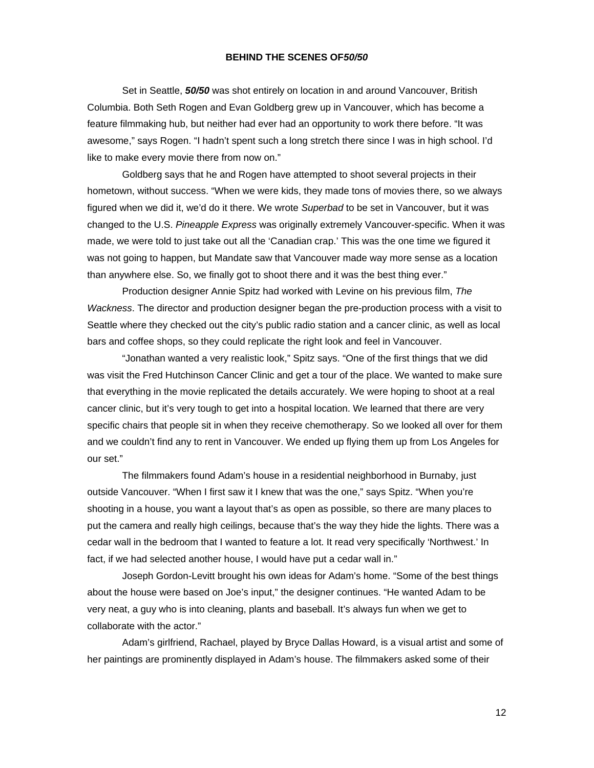### **BEHIND THE SCENES OF***50/50*

Set in Seattle, *50/50* was shot entirely on location in and around Vancouver, British Columbia. Both Seth Rogen and Evan Goldberg grew up in Vancouver, which has become a feature filmmaking hub, but neither had ever had an opportunity to work there before. "It was awesome," says Rogen. "I hadn't spent such a long stretch there since I was in high school. I'd like to make every movie there from now on."

 Goldberg says that he and Rogen have attempted to shoot several projects in their hometown, without success. "When we were kids, they made tons of movies there, so we always figured when we did it, we'd do it there. We wrote *Superbad* to be set in Vancouver, but it was changed to the U.S. *Pineapple Express* was originally extremely Vancouver-specific. When it was made, we were told to just take out all the 'Canadian crap.' This was the one time we figured it was not going to happen, but Mandate saw that Vancouver made way more sense as a location than anywhere else. So, we finally got to shoot there and it was the best thing ever."

Production designer Annie Spitz had worked with Levine on his previous film, *The Wackness*. The director and production designer began the pre-production process with a visit to Seattle where they checked out the city's public radio station and a cancer clinic, as well as local bars and coffee shops, so they could replicate the right look and feel in Vancouver.

"Jonathan wanted a very realistic look," Spitz says. "One of the first things that we did was visit the Fred Hutchinson Cancer Clinic and get a tour of the place. We wanted to make sure that everything in the movie replicated the details accurately. We were hoping to shoot at a real cancer clinic, but it's very tough to get into a hospital location. We learned that there are very specific chairs that people sit in when they receive chemotherapy. So we looked all over for them and we couldn't find any to rent in Vancouver. We ended up flying them up from Los Angeles for our set."

The filmmakers found Adam's house in a residential neighborhood in Burnaby, just outside Vancouver. "When I first saw it I knew that was the one," says Spitz. "When you're shooting in a house, you want a layout that's as open as possible, so there are many places to put the camera and really high ceilings, because that's the way they hide the lights. There was a cedar wall in the bedroom that I wanted to feature a lot. It read very specifically 'Northwest.' In fact, if we had selected another house, I would have put a cedar wall in."

Joseph Gordon-Levitt brought his own ideas for Adam's home. "Some of the best things about the house were based on Joe's input," the designer continues. "He wanted Adam to be very neat, a guy who is into cleaning, plants and baseball. It's always fun when we get to collaborate with the actor."

Adam's girlfriend, Rachael, played by Bryce Dallas Howard, is a visual artist and some of her paintings are prominently displayed in Adam's house. The filmmakers asked some of their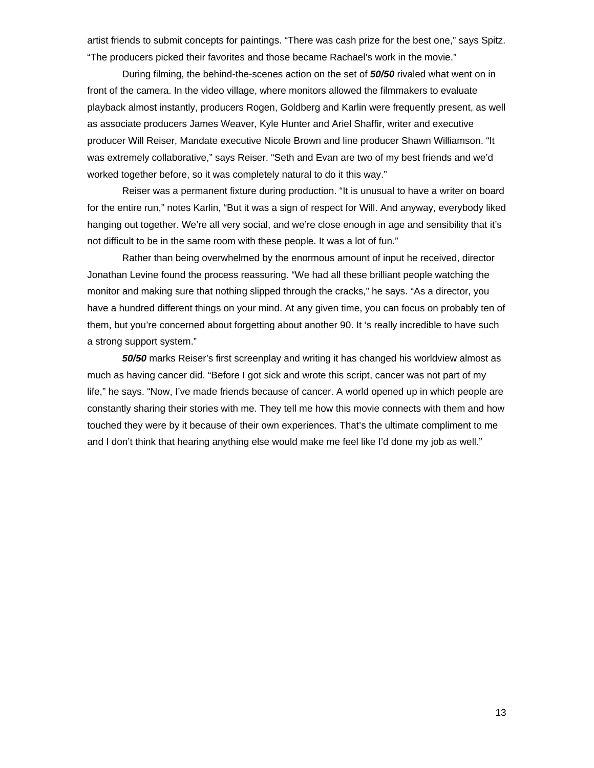artist friends to submit concepts for paintings. "There was cash prize for the best one," says Spitz. "The producers picked their favorites and those became Rachael's work in the movie."

 During filming, the behind-the-scenes action on the set of *50/50* rivaled what went on in front of the camera. In the video village, where monitors allowed the filmmakers to evaluate playback almost instantly, producers Rogen, Goldberg and Karlin were frequently present, as well as associate producers James Weaver, Kyle Hunter and Ariel Shaffir, writer and executive producer Will Reiser, Mandate executive Nicole Brown and line producer Shawn Williamson. "It was extremely collaborative," says Reiser. "Seth and Evan are two of my best friends and we'd worked together before, so it was completely natural to do it this way."

Reiser was a permanent fixture during production. "It is unusual to have a writer on board for the entire run," notes Karlin, "But it was a sign of respect for Will. And anyway, everybody liked hanging out together. We're all very social, and we're close enough in age and sensibility that it's not difficult to be in the same room with these people. It was a lot of fun."

Rather than being overwhelmed by the enormous amount of input he received, director Jonathan Levine found the process reassuring. "We had all these brilliant people watching the monitor and making sure that nothing slipped through the cracks," he says. "As a director, you have a hundred different things on your mind. At any given time, you can focus on probably ten of them, but you're concerned about forgetting about another 90. It 's really incredible to have such a strong support system."

 *50/50* marks Reiser's first screenplay and writing it has changed his worldview almost as much as having cancer did. "Before I got sick and wrote this script, cancer was not part of my life," he says. "Now, I've made friends because of cancer. A world opened up in which people are constantly sharing their stories with me. They tell me how this movie connects with them and how touched they were by it because of their own experiences. That's the ultimate compliment to me and I don't think that hearing anything else would make me feel like I'd done my job as well."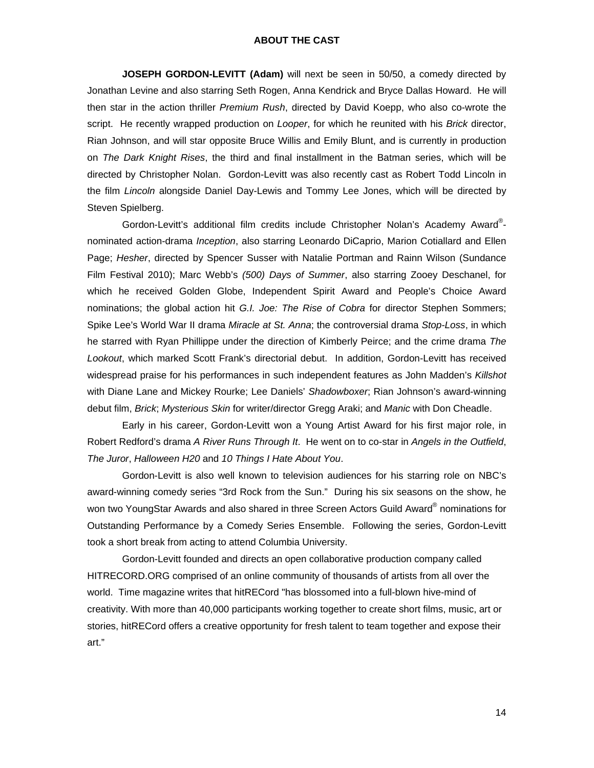#### **ABOUT THE CAST**

**JOSEPH GORDON-LEVITT (Adam)** will next be seen in 50/50, a comedy directed by Jonathan Levine and also starring Seth Rogen, Anna Kendrick and Bryce Dallas Howard. He will then star in the action thriller *Premium Rush*, directed by David Koepp, who also co-wrote the script. He recently wrapped production on *Looper*, for which he reunited with his *Brick* director, Rian Johnson, and will star opposite Bruce Willis and Emily Blunt, and is currently in production on *The Dark Knight Rises*, the third and final installment in the Batman series, which will be directed by Christopher Nolan. Gordon-Levitt was also recently cast as Robert Todd Lincoln in the film *Lincoln* alongside Daniel Day-Lewis and Tommy Lee Jones, which will be directed by Steven Spielberg.

Gordon-Levitt's additional film credits include Christopher Nolan's Academy Award®nominated action-drama *Inception*, also starring Leonardo DiCaprio, Marion Cotiallard and Ellen Page; *Hesher*, directed by Spencer Susser with Natalie Portman and Rainn Wilson (Sundance Film Festival 2010); Marc Webb's *(500) Days of Summer*, also starring Zooey Deschanel, for which he received Golden Globe, Independent Spirit Award and People's Choice Award nominations; the global action hit *G.I. Joe: The Rise of Cobra* for director Stephen Sommers; Spike Lee's World War II drama *Miracle at St. Anna*; the controversial drama *Stop-Loss*, in which he starred with Ryan Phillippe under the direction of Kimberly Peirce; and the crime drama *The Lookout*, which marked Scott Frank's directorial debut. In addition, Gordon-Levitt has received widespread praise for his performances in such independent features as John Madden's *Killshot* with Diane Lane and Mickey Rourke; Lee Daniels' *Shadowboxer*; Rian Johnson's award-winning debut film, *Brick*; *Mysterious Skin* for writer/director Gregg Araki; and *Manic* with Don Cheadle.

Early in his career, Gordon-Levitt won a Young Artist Award for his first major role, in Robert Redford's drama *A River Runs Through It*. He went on to co-star in *Angels in the Outfield*, *The Juror*, *Halloween H20* and *10 Things I Hate About You*.

Gordon-Levitt is also well known to television audiences for his starring role on NBC's award-winning comedy series "3rd Rock from the Sun." During his six seasons on the show, he won two YoungStar Awards and also shared in three Screen Actors Guild Award® nominations for Outstanding Performance by a Comedy Series Ensemble. Following the series, Gordon-Levitt took a short break from acting to attend Columbia University.

Gordon-Levitt founded and directs an open collaborative production company called HITRECORD.ORG comprised of an online community of thousands of artists from all over the world. Time magazine writes that hitRECord "has blossomed into a full-blown hive-mind of creativity. With more than 40,000 participants working together to create short films, music, art or stories, hitRECord offers a creative opportunity for fresh talent to team together and expose their art."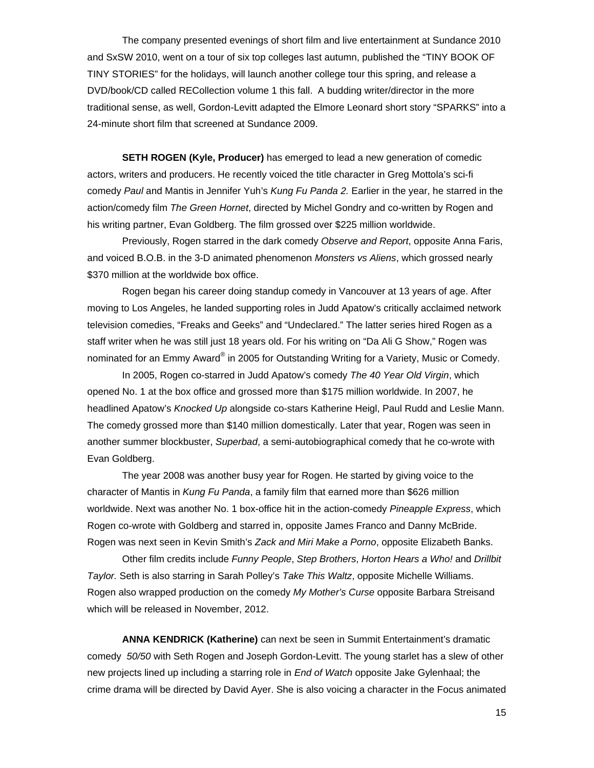The company presented evenings of short film and live entertainment at Sundance 2010 and SxSW 2010, went on a tour of six top colleges last autumn, published the "TINY BOOK OF TINY STORIES" for the holidays, will launch another college tour this spring, and release a DVD/book/CD called RECollection volume 1 this fall. A budding writer/director in the more traditional sense, as well, Gordon-Levitt adapted the Elmore Leonard short story "SPARKS" into a 24-minute short film that screened at Sundance 2009.

 **SETH ROGEN (Kyle, Producer)** has emerged to lead a new generation of comedic actors, writers and producers. He recently voiced the title character in Greg Mottola's sci-fi comedy *Paul* and Mantis in Jennifer Yuh's *Kung Fu Panda 2.* Earlier in the year, he starred in the action/comedy film *The Green Hornet*, directed by Michel Gondry and co-written by Rogen and his writing partner, Evan Goldberg. The film grossed over \$225 million worldwide.

 Previously, Rogen starred in the dark comedy *Observe and Report*, opposite Anna Faris, and voiced B.O.B. in the 3-D animated phenomenon *Monsters vs Aliens*, which grossed nearly \$370 million at the worldwide box office.

 Rogen began his career doing standup comedy in Vancouver at 13 years of age. After moving to Los Angeles, he landed supporting roles in Judd Apatow's critically acclaimed network television comedies, "Freaks and Geeks" and "Undeclared." The latter series hired Rogen as a staff writer when he was still just 18 years old. For his writing on "Da Ali G Show," Rogen was nominated for an Emmy Award® in 2005 for Outstanding Writing for a Variety, Music or Comedy.

 In 2005, Rogen co-starred in Judd Apatow's comedy *The 40 Year Old Virgin*, which opened No. 1 at the box office and grossed more than \$175 million worldwide. In 2007, he headlined Apatow's *Knocked Up* alongside co-stars Katherine Heigl, Paul Rudd and Leslie Mann. The comedy grossed more than \$140 million domestically. Later that year, Rogen was seen in another summer blockbuster, *Superbad*, a semi-autobiographical comedy that he co-wrote with Evan Goldberg.

 The year 2008 was another busy year for Rogen. He started by giving voice to the character of Mantis in *Kung Fu Panda*, a family film that earned more than \$626 million worldwide. Next was another No. 1 box-office hit in the action-comedy *Pineapple Express*, which Rogen co-wrote with Goldberg and starred in, opposite James Franco and Danny McBride. Rogen was next seen in Kevin Smith's *Zack and Miri Make a Porno*, opposite Elizabeth Banks.

 Other film credits include *Funny People*, *Step Brothers*, *Horton Hears a Who!* and *Drillbit Taylor.* Seth is also starring in Sarah Polley's *Take This Waltz*, opposite Michelle Williams. Rogen also wrapped production on the comedy *My Mother's Curse* opposite Barbara Streisand which will be released in November, 2012.

**ANNA KENDRICK (Katherine)** can next be seen in Summit Entertainment's dramatic comedy *50/50* with Seth Rogen and Joseph Gordon-Levitt. The young starlet has a slew of other new projects lined up including a starring role in *End of Watch* opposite Jake Gylenhaal; the crime drama will be directed by David Ayer. She is also voicing a character in the Focus animated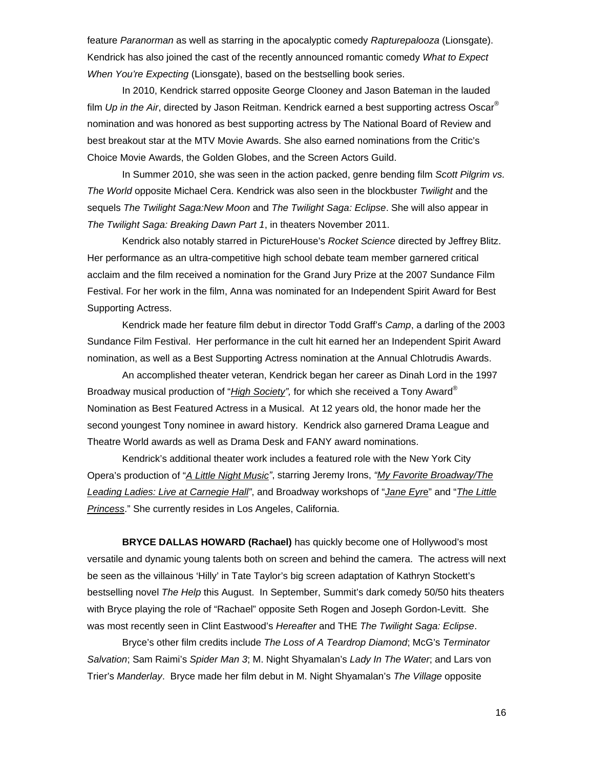feature *Paranorman* as well as starring in the apocalyptic comedy *Rapturepalooza* (Lionsgate). Kendrick has also joined the cast of the recently announced romantic comedy *What to Expect When You're Expecting* (Lionsgate), based on the bestselling book series.

 In 2010, Kendrick starred opposite George Clooney and Jason Bateman in the lauded film *Up in the Air*, directed by Jason Reitman. Kendrick earned a best supporting actress Oscar® nomination and was honored as best supporting actress by The National Board of Review and best breakout star at the MTV Movie Awards. She also earned nominations from the Critic's Choice Movie Awards, the Golden Globes, and the Screen Actors Guild.

 In Summer 2010, she was seen in the action packed, genre bending film *Scott Pilgrim vs. The World* opposite Michael Cera. Kendrick was also seen in the blockbuster *Twilight* and the sequels *The Twilight Saga:New Moon* and *The Twilight Saga: Eclipse*. She will also appear in *The Twilight Saga: Breaking Dawn Part 1*, in theaters November 2011.

 Kendrick also notably starred in PictureHouse's *Rocket Science* directed by Jeffrey Blitz. Her performance as an ultra-competitive high school debate team member garnered critical acclaim and the film received a nomination for the Grand Jury Prize at the 2007 Sundance Film Festival. For her work in the film, Anna was nominated for an Independent Spirit Award for Best Supporting Actress.

 Kendrick made her feature film debut in director Todd Graff's *Camp*, a darling of the 2003 Sundance Film Festival. Her performance in the cult hit earned her an Independent Spirit Award nomination, as well as a Best Supporting Actress nomination at the Annual Chlotrudis Awards.

 An accomplished theater veteran, Kendrick began her career as Dinah Lord in the 1997 Broadway musical production of "*High Society",* for which she received a Tony Award® Nomination as Best Featured Actress in a Musical. At 12 years old, the honor made her the second youngest Tony nominee in award history. Kendrick also garnered Drama League and Theatre World awards as well as Drama Desk and FANY award nominations.

 Kendrick's additional theater work includes a featured role with the New York City Opera's production of "*A Little Night Music"*, starring Jeremy Irons, *"My Favorite Broadway/The Leading Ladies: Live at Carnegie Hall"*, and Broadway workshops of "*Jane Eyr*e" and "*The Little Princess*." She currently resides in Los Angeles, California.

 **BRYCE DALLAS HOWARD (Rachael)** has quickly become one of Hollywood's most versatile and dynamic young talents both on screen and behind the camera. The actress will next be seen as the villainous 'Hilly' in Tate Taylor's big screen adaptation of Kathryn Stockett's bestselling novel *The Help* this August. In September, Summit's dark comedy 50/50 hits theaters with Bryce playing the role of "Rachael" opposite Seth Rogen and Joseph Gordon-Levitt. She was most recently seen in Clint Eastwood's *Hereafter* and THE *The Twilight Saga: Eclipse*.

Bryce's other film credits include *The Loss of A Teardrop Diamond*; McG's *Terminator Salvation*; Sam Raimi's *Spider Man 3*; M. Night Shyamalan's *Lady In The Water*; and Lars von Trier's *Manderlay*. Bryce made her film debut in M. Night Shyamalan's *The Village* opposite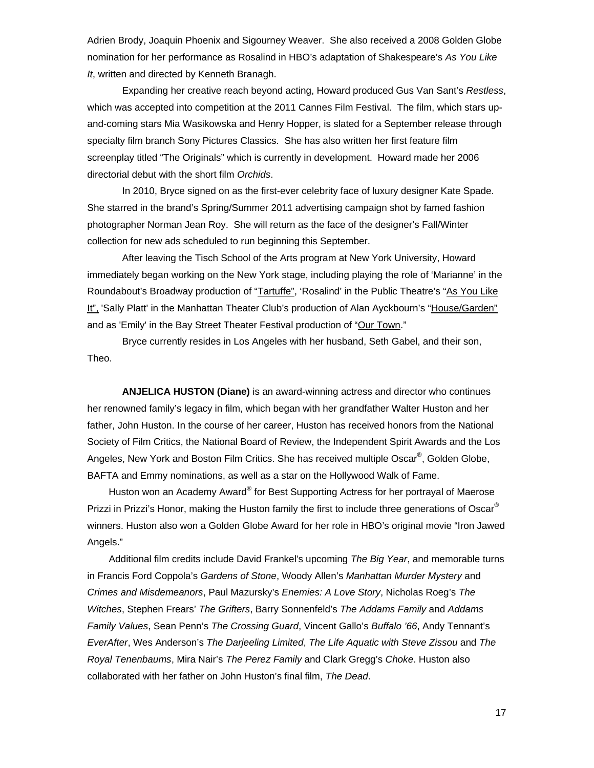Adrien Brody, Joaquin Phoenix and Sigourney Weaver. She also received a 2008 Golden Globe nomination for her performance as Rosalind in HBO's adaptation of Shakespeare's *As You Like It*, written and directed by Kenneth Branagh.

Expanding her creative reach beyond acting, Howard produced Gus Van Sant's *Restless*, which was accepted into competition at the 2011 Cannes Film Festival. The film, which stars upand-coming stars Mia Wasikowska and Henry Hopper, is slated for a September release through specialty film branch Sony Pictures Classics. She has also written her first feature film screenplay titled "The Originals" which is currently in development. Howard made her 2006 directorial debut with the short film *Orchids*.

In 2010, Bryce signed on as the first-ever celebrity face of luxury designer Kate Spade. She starred in the brand's Spring/Summer 2011 advertising campaign shot by famed fashion photographer Norman Jean Roy. She will return as the face of the designer's Fall/Winter collection for new ads scheduled to run beginning this September.

 After leaving the Tisch School of the Arts program at New York University, Howard immediately began working on the New York stage, including playing the role of 'Marianne' in the Roundabout's Broadway production of "Tartuffe", 'Rosalind' in the Public Theatre's "As You Like It", 'Sally Platt' in the Manhattan Theater Club's production of Alan Ayckbourn's "House/Garden" and as 'Emily' in the Bay Street Theater Festival production of "Our Town."

Bryce currently resides in Los Angeles with her husband, Seth Gabel, and their son, Theo.

 **ANJELICA HUSTON (Diane)** is an award-winning actress and director who continues her renowned family's legacy in film, which began with her grandfather Walter Huston and her father, John Huston. In the course of her career, Huston has received honors from the National Society of Film Critics, the National Board of Review, the Independent Spirit Awards and the Los Angeles, New York and Boston Film Critics. She has received multiple Oscar®, Golden Globe, BAFTA and Emmy nominations, as well as a star on the Hollywood Walk of Fame.

Huston won an Academy Award® for Best Supporting Actress for her portrayal of Maerose Prizzi in Prizzi's Honor, making the Huston family the first to include three generations of Oscar<sup>®</sup> winners. Huston also won a Golden Globe Award for her role in HBO's original movie "Iron Jawed Angels."

 Additional film credits include David Frankel's upcoming *The Big Year*, and memorable turns in Francis Ford Coppola's *Gardens of Stone*, Woody Allen's *Manhattan Murder Mystery* and *Crimes and Misdemeanors*, Paul Mazursky's *Enemies: A Love Story*, Nicholas Roeg's *The Witches*, Stephen Frears' *The Grifters*, Barry Sonnenfeld's *The Addams Family* and *Addams Family Values*, Sean Penn's *The Crossing Guard*, Vincent Gallo's *Buffalo '66*, Andy Tennant's *EverAfter*, Wes Anderson's *The Darjeeling Limited*, *The Life Aquatic with Steve Zissou* and *The Royal Tenenbaums*, Mira Nair's *The Perez Family* and Clark Gregg's *Choke*. Huston also collaborated with her father on John Huston's final film, *The Dead*.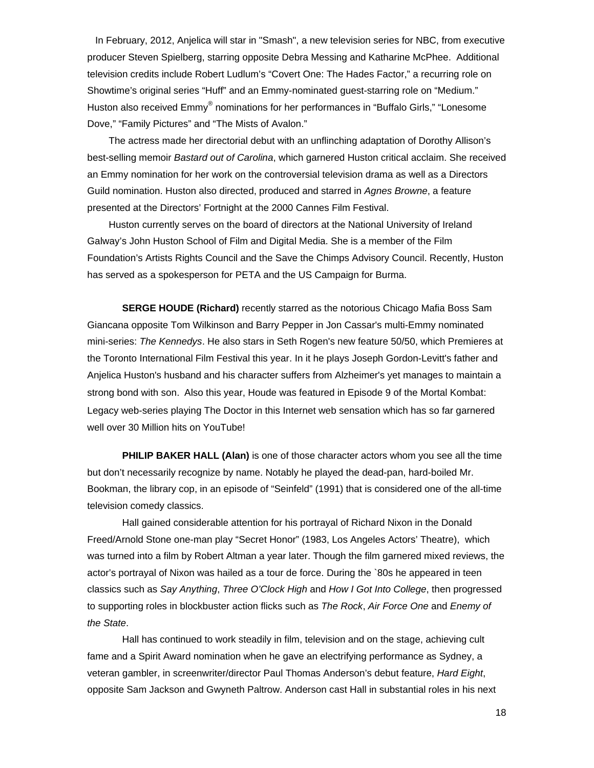In February, 2012, Anjelica will star in "Smash", a new television series for NBC, from executive producer Steven Spielberg, starring opposite Debra Messing and Katharine McPhee. Additional television credits include Robert Ludlum's "Covert One: The Hades Factor," a recurring role on Showtime's original series "Huff" and an Emmy-nominated guest-starring role on "Medium." Huston also received Emmy® nominations for her performances in "Buffalo Girls," "Lonesome Dove," "Family Pictures" and "The Mists of Avalon."

 The actress made her directorial debut with an unflinching adaptation of Dorothy Allison's best-selling memoir *Bastard out of Carolina*, which garnered Huston critical acclaim. She received an Emmy nomination for her work on the controversial television drama as well as a Directors Guild nomination. Huston also directed, produced and starred in *Agnes Browne*, a feature presented at the Directors' Fortnight at the 2000 Cannes Film Festival.

 Huston currently serves on the board of directors at the National University of Ireland Galway's John Huston School of Film and Digital Media. She is a member of the Film Foundation's Artists Rights Council and the Save the Chimps Advisory Council. Recently, Huston has served as a spokesperson for PETA and the US Campaign for Burma.

 **SERGE HOUDE (Richard)** recently starred as the notorious Chicago Mafia Boss Sam Giancana opposite Tom Wilkinson and Barry Pepper in Jon Cassar's multi-Emmy nominated mini-series: *The Kennedys*. He also stars in Seth Rogen's new feature 50/50, which Premieres at the Toronto International Film Festival this year. In it he plays Joseph Gordon-Levitt's father and Anjelica Huston's husband and his character suffers from Alzheimer's yet manages to maintain a strong bond with son. Also this year, Houde was featured in Episode 9 of the Mortal Kombat: Legacy web-series playing The Doctor in this Internet web sensation which has so far garnered well over 30 Million hits on YouTube!

**PHILIP BAKER HALL (Alan)** is one of those character actors whom you see all the time but don't necessarily recognize by name. Notably he played the dead-pan, hard-boiled Mr. Bookman, the library cop, in an episode of "Seinfeld" (1991) that is considered one of the all-time television comedy classics.

 Hall gained considerable attention for his portrayal of Richard Nixon in the Donald Freed/Arnold Stone one-man play "Secret Honor" (1983, Los Angeles Actors' Theatre), which was turned into a film by Robert Altman a year later. Though the film garnered mixed reviews, the actor's portrayal of Nixon was hailed as a tour de force. During the `80s he appeared in teen classics such as *Say Anything*, *Three O'Clock High* and *How I Got Into College*, then progressed to supporting roles in blockbuster action flicks such as *The Rock*, *Air Force One* and *Enemy of the State*.

 Hall has continued to work steadily in film, television and on the stage, achieving cult fame and a Spirit Award nomination when he gave an electrifying performance as Sydney, a veteran gambler, in screenwriter/director Paul Thomas Anderson's debut feature, *Hard Eight*, opposite Sam Jackson and Gwyneth Paltrow. Anderson cast Hall in substantial roles in his next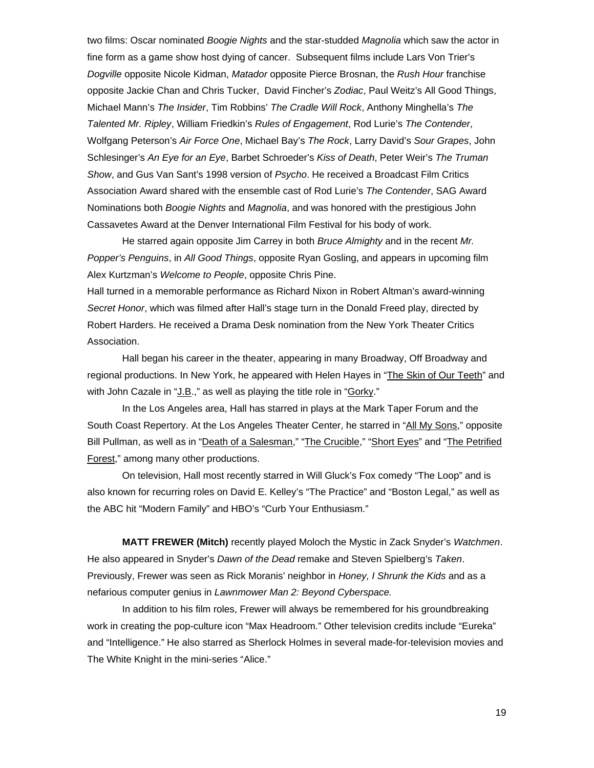two films: Oscar nominated *Boogie Nights* and the star-studded *Magnolia* which saw the actor in fine form as a game show host dying of cancer. Subsequent films include Lars Von Trier's *Dogville* opposite Nicole Kidman, *Matador* opposite Pierce Brosnan, the *Rush Hour* franchise opposite Jackie Chan and Chris Tucker, David Fincher's *Zodiac*, Paul Weitz's All Good Things, Michael Mann's *The Insider*, Tim Robbins' *The Cradle Will Rock*, Anthony Minghella's *The Talented Mr. Ripley*, William Friedkin's *Rules of Engagement*, Rod Lurie's *The Contender*, Wolfgang Peterson's *Air Force One*, Michael Bay's *The Rock*, Larry David's *Sour Grapes*, John Schlesinger's *An Eye for an Eye*, Barbet Schroeder's *Kiss of Death*, Peter Weir's *The Truman Show*, and Gus Van Sant's 1998 version of *Psycho*. He received a Broadcast Film Critics Association Award shared with the ensemble cast of Rod Lurie's *The Contender*, SAG Award Nominations both *Boogie Nights* and *Magnolia*, and was honored with the prestigious John Cassavetes Award at the Denver International Film Festival for his body of work.

 He starred again opposite Jim Carrey in both *Bruce Almighty* and in the recent *Mr. Popper's Penguins*, in *All Good Things*, opposite Ryan Gosling, and appears in upcoming film Alex Kurtzman's *Welcome to People*, opposite Chris Pine.

Hall turned in a memorable performance as Richard Nixon in Robert Altman's award-winning *Secret Honor*, which was filmed after Hall's stage turn in the Donald Freed play, directed by Robert Harders. He received a Drama Desk nomination from the New York Theater Critics Association.

 Hall began his career in the theater, appearing in many Broadway, Off Broadway and regional productions. In New York, he appeared with Helen Hayes in "The Skin of Our Teeth" and with John Cazale in "J.B.," as well as playing the title role in "Gorky."

In the Los Angeles area, Hall has starred in plays at the Mark Taper Forum and the South Coast Repertory. At the Los Angeles Theater Center, he starred in "All My Sons," opposite Bill Pullman, as well as in "Death of a Salesman," "The Crucible," "Short Eyes" and "The Petrified Forest," among many other productions.

On television, Hall most recently starred in Will Gluck's Fox comedy "The Loop" and is also known for recurring roles on David E. Kelley's "The Practice" and "Boston Legal," as well as the ABC hit "Modern Family" and HBO's "Curb Your Enthusiasm."

**MATT FREWER (Mitch)** recently played Moloch the Mystic in Zack Snyder's *Watchmen*. He also appeared in Snyder's *Dawn of the Dead* remake and Steven Spielberg's *Taken*. Previously, Frewer was seen as Rick Moranis' neighbor in *Honey, I Shrunk the Kids* and as a nefarious computer genius in *Lawnmower Man 2: Beyond Cyberspace.* 

 In addition to his film roles, Frewer will always be remembered for his groundbreaking work in creating the pop-culture icon "Max Headroom." Other television credits include "Eureka" and "Intelligence." He also starred as Sherlock Holmes in several made-for-television movies and The White Knight in the mini-series "Alice."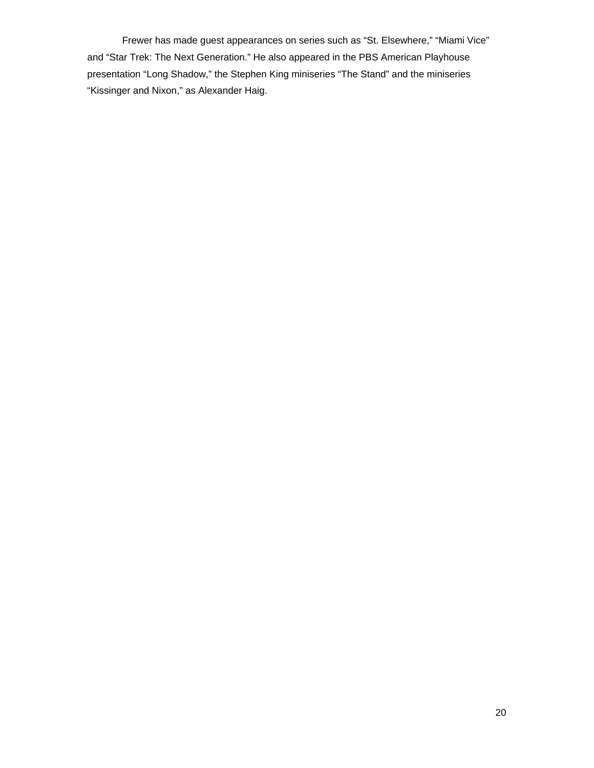Frewer has made guest appearances on series such as "St. Elsewhere," "Miami Vice" and "Star Trek: The Next Generation." He also appeared in the PBS American Playhouse presentation "Long Shadow," the Stephen King miniseries "The Stand" and the miniseries "Kissinger and Nixon," as Alexander Haig.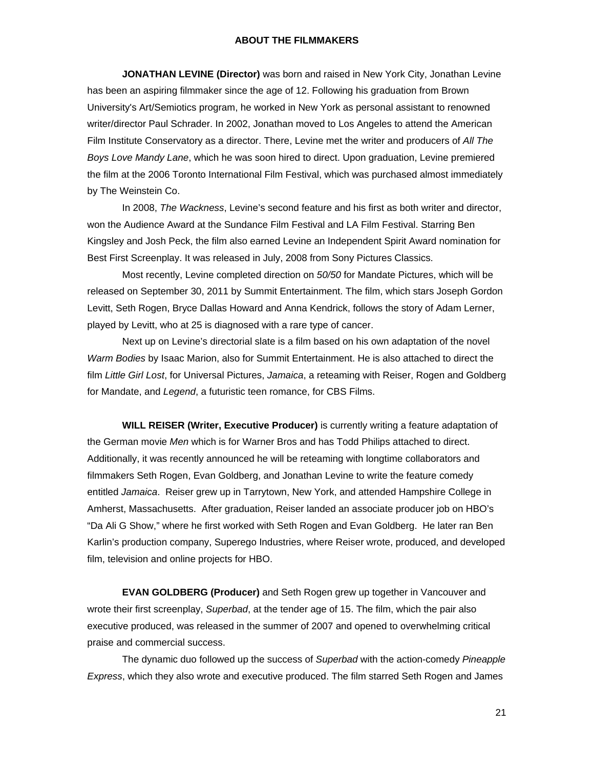### **ABOUT THE FILMMAKERS**

 **JONATHAN LEVINE (Director)** was born and raised in New York City, Jonathan Levine has been an aspiring filmmaker since the age of 12. Following his graduation from Brown University's Art/Semiotics program, he worked in New York as personal assistant to renowned writer/director Paul Schrader. In 2002, Jonathan moved to Los Angeles to attend the American Film Institute Conservatory as a director. There, Levine met the writer and producers of *All The Boys Love Mandy Lane*, which he was soon hired to direct. Upon graduation, Levine premiered the film at the 2006 Toronto International Film Festival, which was purchased almost immediately by The Weinstein Co.

In 2008, *The Wackness*, Levine's second feature and his first as both writer and director, won the Audience Award at the Sundance Film Festival and LA Film Festival. Starring Ben Kingsley and Josh Peck, the film also earned Levine an Independent Spirit Award nomination for Best First Screenplay. It was released in July, 2008 from Sony Pictures Classics.

Most recently, Levine completed direction on *50/50* for Mandate Pictures, which will be released on September 30, 2011 by Summit Entertainment. The film, which stars Joseph Gordon Levitt, Seth Rogen, Bryce Dallas Howard and Anna Kendrick, follows the story of Adam Lerner, played by Levitt, who at 25 is diagnosed with a rare type of cancer.

Next up on Levine's directorial slate is a film based on his own adaptation of the novel *Warm Bodies* by Isaac Marion, also for Summit Entertainment. He is also attached to direct the film *Little Girl Lost*, for Universal Pictures, *Jamaica*, a reteaming with Reiser, Rogen and Goldberg for Mandate, and *Legend*, a futuristic teen romance, for CBS Films.

**WILL REISER (Writer, Executive Producer)** is currently writing a feature adaptation of the German movie *Men* which is for Warner Bros and has Todd Philips attached to direct. Additionally, it was recently announced he will be reteaming with longtime collaborators and filmmakers Seth Rogen, Evan Goldberg, and Jonathan Levine to write the feature comedy entitled *Jamaica*. Reiser grew up in Tarrytown, New York, and attended Hampshire College in Amherst, Massachusetts. After graduation, Reiser landed an associate producer job on HBO's "Da Ali G Show," where he first worked with Seth Rogen and Evan Goldberg. He later ran Ben Karlin's production company, Superego Industries, where Reiser wrote, produced, and developed film, television and online projects for HBO.

 **EVAN GOLDBERG (Producer)** and Seth Rogen grew up together in Vancouver and wrote their first screenplay, *Superbad*, at the tender age of 15. The film, which the pair also executive produced, was released in the summer of 2007 and opened to overwhelming critical praise and commercial success.

The dynamic duo followed up the success of *Superbad* with the action-comedy *Pineapple Express*, which they also wrote and executive produced. The film starred Seth Rogen and James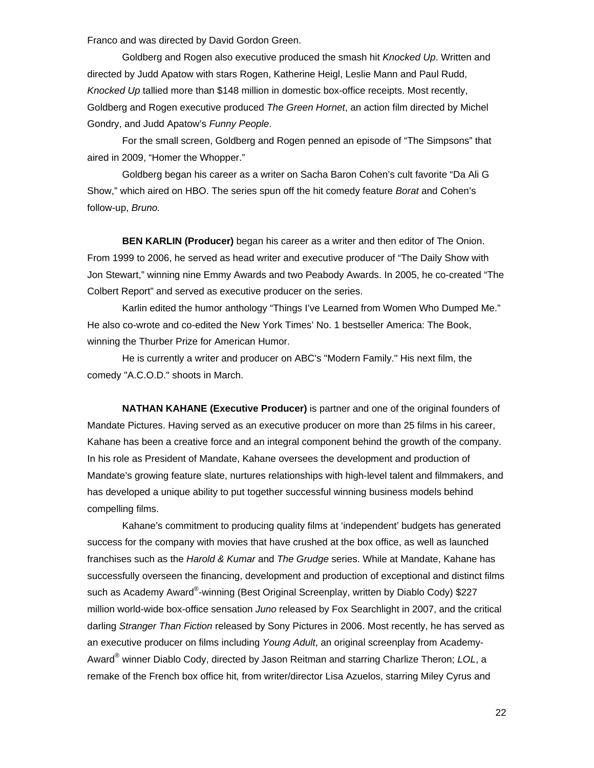Franco and was directed by David Gordon Green.

Goldberg and Rogen also executive produced the smash hit *Knocked Up*. Written and directed by Judd Apatow with stars Rogen, Katherine Heigl, Leslie Mann and Paul Rudd, *Knocked Up* tallied more than \$148 million in domestic box-office receipts. Most recently, Goldberg and Rogen executive produced *The Green Hornet*, an action film directed by Michel Gondry, and Judd Apatow's *Funny People*.

For the small screen, Goldberg and Rogen penned an episode of "The Simpsons" that aired in 2009, "Homer the Whopper."

Goldberg began his career as a writer on Sacha Baron Cohen's cult favorite "Da Ali G Show," which aired on HBO. The series spun off the hit comedy feature *Borat* and Cohen's follow-up, *Bruno.*

 **BEN KARLIN (Producer)** began his career as a writer and then editor of The Onion. From 1999 to 2006, he served as head writer and executive producer of "The Daily Show with Jon Stewart," winning nine Emmy Awards and two Peabody Awards. In 2005, he co-created "The Colbert Report" and served as executive producer on the series.

 Karlin edited the humor anthology "Things I've Learned from Women Who Dumped Me." He also co-wrote and co-edited the New York Times' No. 1 bestseller America: The Book, winning the Thurber Prize for American Humor.

 He is currently a writer and producer on ABC's "Modern Family." His next film, the comedy "A.C.O.D." shoots in March.

**NATHAN KAHANE (Executive Producer)** is partner and one of the original founders of Mandate Pictures. Having served as an executive producer on more than 25 films in his career, Kahane has been a creative force and an integral component behind the growth of the company. In his role as President of Mandate, Kahane oversees the development and production of Mandate's growing feature slate, nurtures relationships with high-level talent and filmmakers, and has developed a unique ability to put together successful winning business models behind compelling films.

Kahane's commitment to producing quality films at 'independent' budgets has generated success for the company with movies that have crushed at the box office, as well as launched franchises such as the *Harold & Kumar* and *The Grudge* series. While at Mandate, Kahane has successfully overseen the financing, development and production of exceptional and distinct films such as Academy Award®-winning (Best Original Screenplay, written by Diablo Cody) \$227 million world-wide box-office sensation *Juno* released by Fox Searchlight in 2007, and the critical darling *Stranger Than Fiction* released by Sony Pictures in 2006. Most recently, he has served as an executive producer on films including *Young Adult*, an original screenplay from Academy-Award® winner Diablo Cody, directed by Jason Reitman and starring Charlize Theron; *LOL*, a remake of the French box office hit*,* from writer/director Lisa Azuelos, starring Miley Cyrus and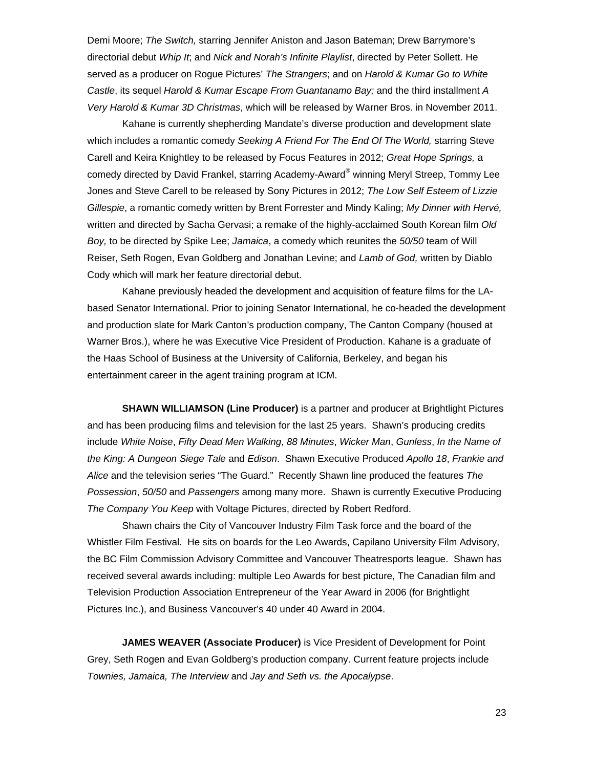Demi Moore; *The Switch,* starring Jennifer Aniston and Jason Bateman; Drew Barrymore's directorial debut *Whip It*; and *Nick and Norah's Infinite Playlist*, directed by Peter Sollett. He served as a producer on Rogue Pictures' *The Strangers*; and on *Harold & Kumar Go to White Castle*, its sequel *Harold & Kumar Escape From Guantanamo Bay;* and the third installment *A Very Harold & Kumar 3D Christmas*, which will be released by Warner Bros. in November 2011.

Kahane is currently shepherding Mandate's diverse production and development slate which includes a romantic comedy *Seeking A Friend For The End Of The World,* starring Steve Carell and Keira Knightley to be released by Focus Features in 2012; *Great Hope Springs,* a comedy directed by David Frankel, starring Academy-Award® winning Meryl Streep, Tommy Lee Jones and Steve Carell to be released by Sony Pictures in 2012; *The Low Self Esteem of Lizzie Gillespie*, a romantic comedy written by Brent Forrester and Mindy Kaling; *My Dinner with Hervé,* written and directed by Sacha Gervasi; a remake of the highly-acclaimed South Korean film *Old Boy,* to be directed by Spike Lee; *Jamaica*, a comedy which reunites the *50/50* team of Will Reiser, Seth Rogen, Evan Goldberg and Jonathan Levine; and *Lamb of God,* written by Diablo Cody which will mark her feature directorial debut.

Kahane previously headed the development and acquisition of feature films for the LAbased Senator International. Prior to joining Senator International, he co-headed the development and production slate for Mark Canton's production company, The Canton Company (housed at Warner Bros.), where he was Executive Vice President of Production. Kahane is a graduate of the Haas School of Business at the University of California, Berkeley, and began his entertainment career in the agent training program at ICM.

 **SHAWN WILLIAMSON (Line Producer)** is a partner and producer at Brightlight Pictures and has been producing films and television for the last 25 years. Shawn's producing credits include *White Noise*, *Fifty Dead Men Walking*, *88 Minutes*, *Wicker Man*, *Gunless*, *In the Name of the King: A Dungeon Siege Tale* and *Edison*. Shawn Executive Produced *Apollo 18*, *Frankie and Alice* and the television series "The Guard." Recently Shawn line produced the features *The Possession*, *50/50* and *Passengers* among many more. Shawn is currently Executive Producing *The Company You Keep* with Voltage Pictures, directed by Robert Redford.

 Shawn chairs the City of Vancouver Industry Film Task force and the board of the Whistler Film Festival. He sits on boards for the Leo Awards, Capilano University Film Advisory, the BC Film Commission Advisory Committee and Vancouver Theatresports league. Shawn has received several awards including: multiple Leo Awards for best picture, The Canadian film and Television Production Association Entrepreneur of the Year Award in 2006 (for Brightlight Pictures Inc.), and Business Vancouver's 40 under 40 Award in 2004.

 **JAMES WEAVER (Associate Producer)** is Vice President of Development for Point Grey, Seth Rogen and Evan Goldberg's production company. Current feature projects include *Townies, Jamaica, The Interview* and *Jay and Seth vs. the Apocalypse*.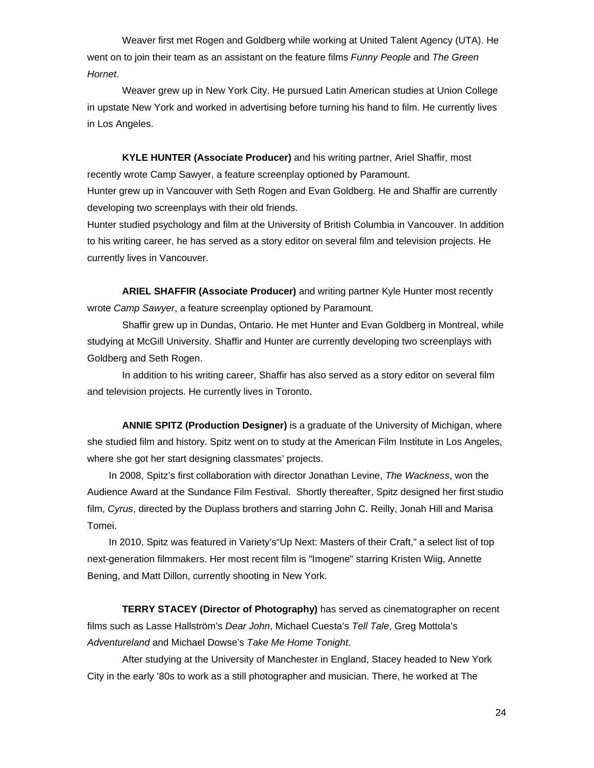Weaver first met Rogen and Goldberg while working at United Talent Agency (UTA). He went on to join their team as an assistant on the feature films *Funny People* and *The Green Hornet*.

 Weaver grew up in New York City. He pursued Latin American studies at Union College in upstate New York and worked in advertising before turning his hand to film. He currently lives in Los Angeles.

 **KYLE HUNTER (Associate Producer)** and his writing partner, Ariel Shaffir, most recently wrote Camp Sawyer, a feature screenplay optioned by Paramount. Hunter grew up in Vancouver with Seth Rogen and Evan Goldberg. He and Shaffir are currently developing two screenplays with their old friends.

Hunter studied psychology and film at the University of British Columbia in Vancouver. In addition to his writing career, he has served as a story editor on several film and television projects. He currently lives in Vancouver.

**ARIEL SHAFFIR (Associate Producer)** and writing partner Kyle Hunter most recently wrote *Camp Sawyer*, a feature screenplay optioned by Paramount.

Shaffir grew up in Dundas, Ontario. He met Hunter and Evan Goldberg in Montreal, while studying at McGill University. Shaffir and Hunter are currently developing two screenplays with Goldberg and Seth Rogen.

In addition to his writing career, Shaffir has also served as a story editor on several film and television projects. He currently lives in Toronto.

 **ANNIE SPITZ (Production Designer)** is a graduate of the University of Michigan, where she studied film and history. Spitz went on to study at the American Film Institute in Los Angeles, where she got her start designing classmates' projects.

 In 2008, Spitz's first collaboration with director Jonathan Levine, *The Wackness*, won the Audience Award at the Sundance Film Festival. Shortly thereafter, Spitz designed her first studio film, *Cyrus*, directed by the Duplass brothers and starring John C. Reilly, Jonah Hill and Marisa Tomei.

 In 2010, Spitz was featured in Variety's"Up Next: Masters of their Craft," a select list of top next-generation filmmakers. Her most recent film is "Imogene" starring Kristen Wiig, Annette Bening, and Matt Dillon, currently shooting in New York.

**TERRY STACEY (Director of Photography)** has served as cinematographer on recent films such as Lasse Hallström's *Dear John*, Michael Cuesta's *Tell Tale*, Greg Mottola's *Adventureland* and Michael Dowse's *Take Me Home Tonight*.

After studying at the University of Manchester in England, Stacey headed to New York City in the early '80s to work as a still photographer and musician. There, he worked at The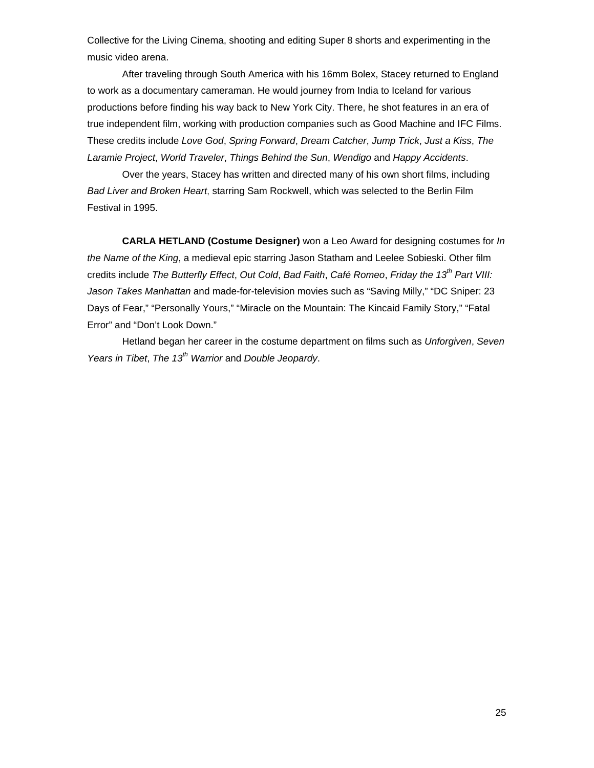Collective for the Living Cinema, shooting and editing Super 8 shorts and experimenting in the music video arena.

After traveling through South America with his 16mm Bolex, Stacey returned to England to work as a documentary cameraman. He would journey from India to Iceland for various productions before finding his way back to New York City. There, he shot features in an era of true independent film, working with production companies such as Good Machine and IFC Films. These credits include *Love God*, *Spring Forward*, *Dream Catcher*, *Jump Trick*, *Just a Kiss*, *The Laramie Project*, *World Traveler*, *Things Behind the Sun*, *Wendigo* and *Happy Accidents*.

Over the years, Stacey has written and directed many of his own short films, including *Bad Liver and Broken Heart*, starring Sam Rockwell, which was selected to the Berlin Film Festival in 1995.

 **CARLA HETLAND (Costume Designer)** won a Leo Award for designing costumes for *In the Name of the King*, a medieval epic starring Jason Statham and Leelee Sobieski. Other film credits include *The Butterfly Effect*, *Out Cold*, *Bad Faith*, *Café Romeo*, *Friday the 13th Part VIII: Jason Takes Manhattan* and made-for-television movies such as "Saving Milly," "DC Sniper: 23 Days of Fear," "Personally Yours," "Miracle on the Mountain: The Kincaid Family Story," "Fatal Error" and "Don't Look Down."

 Hetland began her career in the costume department on films such as *Unforgiven*, *Seven Years in Tibet*, *The 13th Warrior* and *Double Jeopardy*.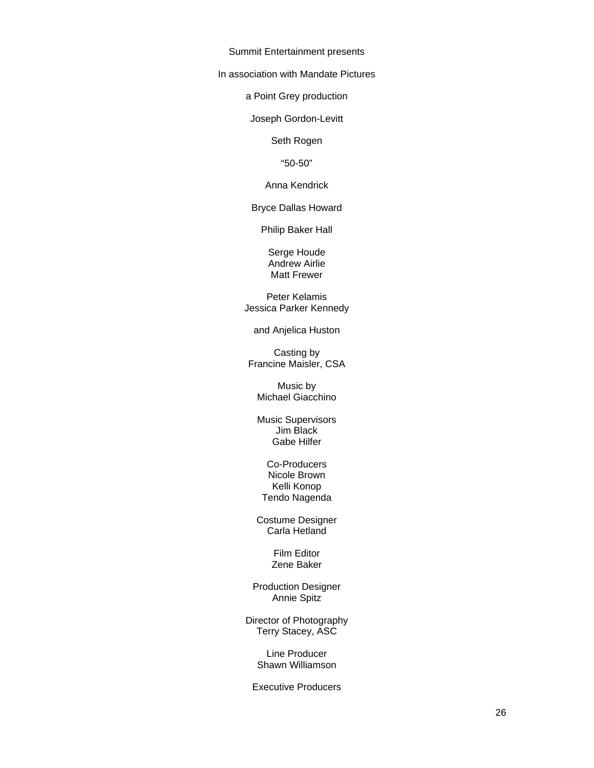Summit Entertainment presents

In association with Mandate Pictures

a Point Grey production

Joseph Gordon-Levitt

Seth Rogen

"50-50"

Anna Kendrick

Bryce Dallas Howard

Philip Baker Hall

Serge Houde Andrew Airlie Matt Frewer

Peter Kelamis Jessica Parker Kennedy

and Anjelica Huston

Casting by Francine Maisler, CSA

Music by Michael Giacchino

Music Supervisors Jim Black Gabe Hilfer

Co-Producers Nicole Brown Kelli Konop Tendo Nagenda

Costume Designer Carla Hetland

> Film Editor Zene Baker

Production Designer Annie Spitz

Director of Photography Terry Stacey, ASC

> Line Producer Shawn Williamson

Executive Producers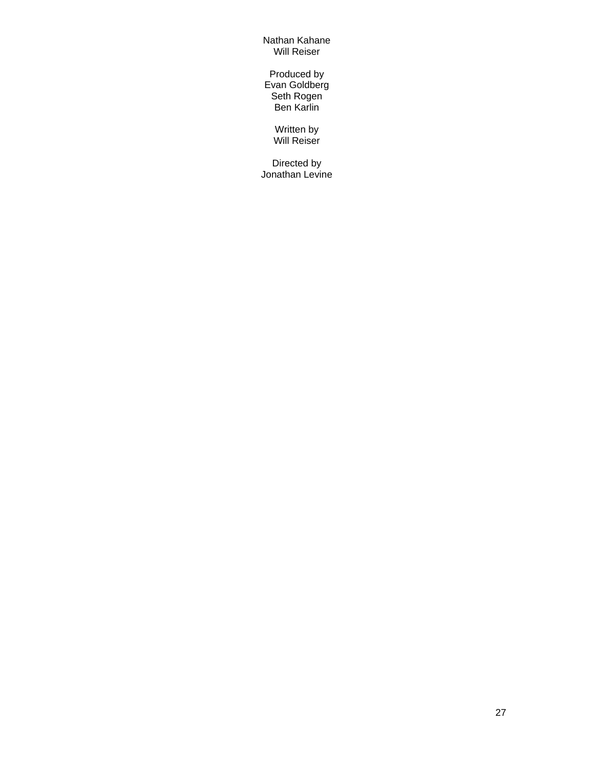Nathan Kahane Will Reiser

Produced by Evan Goldberg Seth Rogen Ben Karlin

> Written by Will Reiser

Directed by Jonathan Levine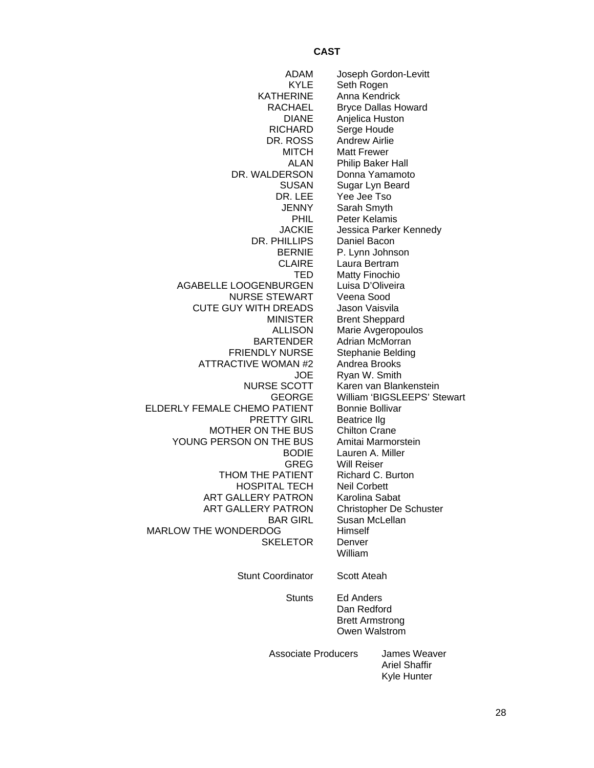# **CAST**

| ADAM                         |                        | Joseph Gordon-Levitt          |
|------------------------------|------------------------|-------------------------------|
| <b>KYLE</b>                  | Seth Rogen             |                               |
| <b>KATHERINE</b>             | Anna Kendrick          |                               |
| <b>RACHAEL</b>               |                        | <b>Bryce Dallas Howard</b>    |
| <b>DIANE</b>                 | Anjelica Huston        |                               |
| <b>RICHARD</b>               | Serge Houde            |                               |
| DR. ROSS                     | <b>Andrew Airlie</b>   |                               |
| <b>MITCH</b>                 | <b>Matt Frewer</b>     |                               |
| ALAN                         |                        | Philip Baker Hall             |
| DR. WALDERSON                |                        | Donna Yamamoto                |
| <b>SUSAN</b>                 |                        | Sugar Lyn Beard               |
| DR. LEE                      | Yee Jee Tso            |                               |
| <b>JENNY</b>                 | Sarah Smyth            |                               |
|                              | Peter Kelamis          |                               |
| <b>PHIL</b>                  |                        |                               |
| <b>JACKIE</b>                |                        | Jessica Parker Kennedy        |
| DR. PHILLIPS                 | Daniel Bacon           |                               |
| <b>BERNIE</b>                |                        | P. Lynn Johnson               |
| <b>CLAIRE</b>                | Laura Bertram          |                               |
| TED                          | <b>Matty Finochio</b>  |                               |
| AGABELLE LOOGENBURGEN        |                        | Luisa D'Oliveira              |
| <b>NURSE STEWART</b>         | Veena Sood             |                               |
| CUTE GUY WITH DREADS         | Jason Vaisvila         |                               |
| <b>MINISTER</b>              |                        | <b>Brent Sheppard</b>         |
| <b>ALLISON</b>               |                        | Marie Avgeropoulos            |
| <b>BARTENDER</b>             |                        | Adrian McMorran               |
| <b>FRIENDLY NURSE</b>        |                        | Stephanie Belding             |
| <b>ATTRACTIVE WOMAN #2</b>   | Andrea Brooks          |                               |
| <b>JOE</b>                   | Ryan W. Smith          |                               |
| <b>NURSE SCOTT</b>           |                        | Karen van Blankenstein        |
| <b>GEORGE</b>                |                        | William 'BIGSLEEPS' Stewart   |
| ELDERLY FEMALE CHEMO PATIENT | <b>Bonnie Bollivar</b> |                               |
| <b>PRETTY GIRL</b>           | <b>Beatrice Ilg</b>    |                               |
| MOTHER ON THE BUS            | <b>Chilton Crane</b>   |                               |
| YOUNG PERSON ON THE BUS      |                        | Amitai Marmorstein            |
| <b>BODIE</b>                 |                        | Lauren A. Miller              |
| GREG                         | <b>Will Reiser</b>     |                               |
| THOM THE PATIENT             |                        | Richard C. Burton             |
|                              |                        |                               |
| <b>HOSPITAL TECH</b>         | <b>Neil Corbett</b>    |                               |
| <b>ART GALLERY PATRON</b>    | Karolina Sabat         |                               |
| ART GALLERY PATRON           |                        | Christopher De Schuster       |
| <b>BAR GIRL</b>              |                        | Susan McLellan                |
| MARLOW THE WONDERDOG         | Himself                |                               |
| <b>SKELETOR</b>              | Denver                 |                               |
|                              | William                |                               |
| <b>Stunt Coordinator</b>     | Scott Ateah            |                               |
|                              |                        |                               |
| <b>Stunts</b>                | Ed Anders              |                               |
|                              | Dan Redford            |                               |
|                              |                        | <b>Brett Armstrong</b>        |
|                              |                        | Owen Walstrom                 |
|                              |                        |                               |
| <b>Associate Producers</b>   |                        | James Weaver<br>Ariel Shaffir |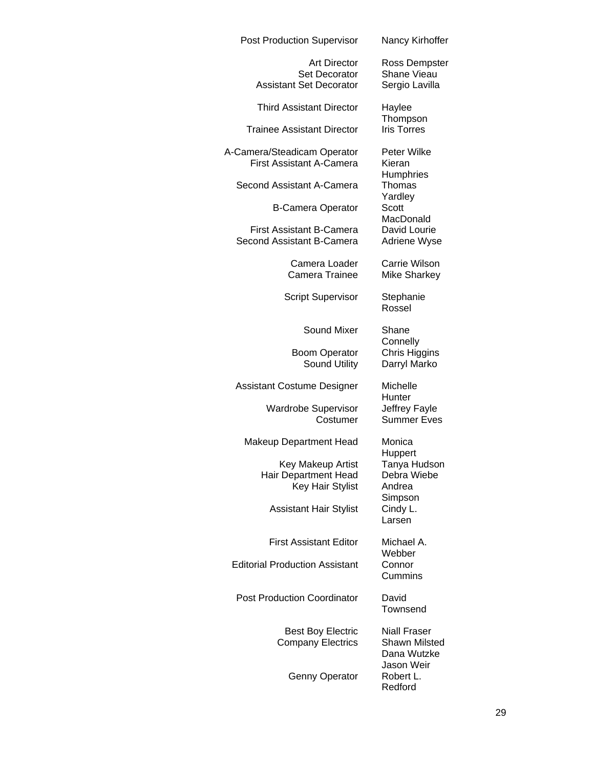| <b>Post Production Supervisor</b>                                             | Nancy Kirhoffer                                            |
|-------------------------------------------------------------------------------|------------------------------------------------------------|
| <b>Art Director</b><br><b>Set Decorator</b><br><b>Assistant Set Decorator</b> | Ross Dempster<br><b>Shane Vieau</b><br>Sergio Lavilla      |
| <b>Third Assistant Director</b>                                               | Haylee                                                     |
| <b>Trainee Assistant Director</b>                                             | Thompson<br><b>Iris Torres</b>                             |
| A-Camera/Steadicam Operator<br><b>First Assistant A-Camera</b>                | Peter Wilke<br>Kieran<br><b>Humphries</b>                  |
| Second Assistant A-Camera                                                     | Thomas                                                     |
| <b>B-Camera Operator</b>                                                      | Yardley<br>Scott<br>MacDonald                              |
| <b>First Assistant B-Camera</b><br>Second Assistant B-Camera                  | David Lourie<br>Adriene Wyse                               |
| Camera Loader<br>Camera Trainee                                               | Carrie Wilson<br><b>Mike Sharkey</b>                       |
| <b>Script Supervisor</b>                                                      | Stephanie<br>Rossel                                        |
| Sound Mixer                                                                   | Shane<br>Connelly                                          |
| <b>Boom Operator</b><br><b>Sound Utility</b>                                  | Chris Higgins<br>Darryl Marko                              |
| Assistant Costume Designer                                                    | Michelle<br>Hunter                                         |
| <b>Wardrobe Supervisor</b><br>Costumer                                        | Jeffrey Fayle<br><b>Summer Eves</b>                        |
| <b>Makeup Department Head</b>                                                 | Monica<br>Huppert                                          |
| Key Makeup Artist<br>Hair Department Head<br>Key Hair Stylist                 | Tanya Hudson<br>Debra Wiebe<br>Andrea<br>Simpson           |
| <b>Assistant Hair Stylist</b>                                                 | Cindy L.<br>Larsen                                         |
| <b>First Assistant Editor</b>                                                 | Michael A.<br>Webber                                       |
| <b>Editorial Production Assistant</b>                                         | Connor<br>Cummins                                          |
| <b>Post Production Coordinator</b>                                            | David<br>Townsend                                          |
| <b>Best Boy Electric</b><br><b>Company Electrics</b>                          | <b>Niall Fraser</b><br><b>Shawn Milsted</b><br>Dana Wutzke |
| <b>Genny Operator</b>                                                         | Jason Weir<br>Robert L.<br>Redford                         |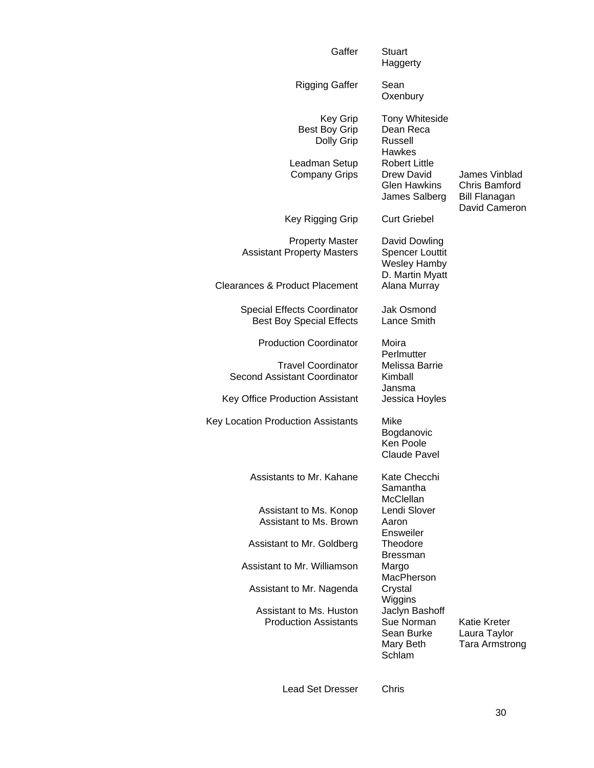| Gaffer                                                                                  | Stuart<br>Haggerty                                                                                                   |                                                       |
|-----------------------------------------------------------------------------------------|----------------------------------------------------------------------------------------------------------------------|-------------------------------------------------------|
| <b>Rigging Gaffer</b>                                                                   | Sean<br>Oxenbury                                                                                                     |                                                       |
| Key Grip<br><b>Best Boy Grip</b><br>Dolly Grip<br>Leadman Setup<br><b>Company Grips</b> | <b>Tony Whiteside</b><br>Dean Reca<br>Russell<br>Hawkes<br><b>Robert Little</b><br>Drew David<br><b>Glen Hawkins</b> | James Vinblad<br>Chris Bamford                        |
|                                                                                         | James Salberg                                                                                                        | <b>Bill Flanagan</b><br>David Cameron                 |
| Key Rigging Grip                                                                        | <b>Curt Griebel</b>                                                                                                  |                                                       |
| <b>Property Master</b><br><b>Assistant Property Masters</b>                             | David Dowling<br><b>Spencer Louttit</b><br><b>Wesley Hamby</b><br>D. Martin Myatt                                    |                                                       |
| Clearances & Product Placement                                                          | Alana Murray                                                                                                         |                                                       |
| <b>Special Effects Coordinator</b><br><b>Best Boy Special Effects</b>                   | <b>Jak Osmond</b><br>Lance Smith                                                                                     |                                                       |
| <b>Production Coordinator</b>                                                           | Moira<br>Perlmutter                                                                                                  |                                                       |
| <b>Travel Coordinator</b><br>Second Assistant Coordinator                               | Melissa Barrie<br>Kimball<br>Jansma                                                                                  |                                                       |
| Key Office Production Assistant                                                         | Jessica Hoyles                                                                                                       |                                                       |
| Key Location Production Assistants                                                      | Mike<br>Bogdanovic<br>Ken Poole<br><b>Claude Pavel</b>                                                               |                                                       |
| Assistants to Mr. Kahane                                                                | Kate Checchi<br>Samantha<br><b>McClellan</b>                                                                         |                                                       |
| Assistant to Ms. Konop                                                                  | Lendi Slover                                                                                                         |                                                       |
| Assistant to Ms. Brown                                                                  | Aaron<br>Ensweiler                                                                                                   |                                                       |
| Assistant to Mr. Goldberg                                                               | Theodore<br><b>Bressman</b>                                                                                          |                                                       |
| Assistant to Mr. Williamson                                                             | Margo                                                                                                                |                                                       |
| Assistant to Mr. Nagenda                                                                | MacPherson<br>Crystal<br>Wiggins                                                                                     |                                                       |
| Assistant to Ms. Huston<br><b>Production Assistants</b>                                 | Jaclyn Bashoff<br>Sue Norman<br>Sean Burke<br>Mary Beth<br>Schlam                                                    | Katie Kreter<br>Laura Taylor<br><b>Tara Armstrong</b> |

Lead Set Dresser Chris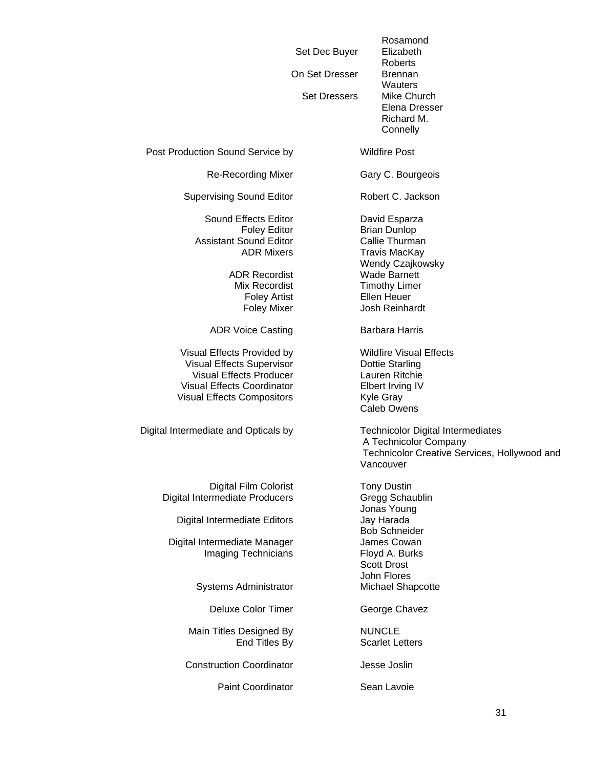Set Dec Buyer Elizabeth On Set Dresser Brennan Set Dressers Mike Church

Rosamond Roberts **Wauters**  Elena Dresser Richard M. **Connelly** 

Post Production Sound Service by Wildfire Post

Re-Recording Mixer Gary C. Bourgeois

Supervising Sound Editor **Robert C. Jackson** 

Sound Effects Editor **David Esparza** Assistant Sound Editor **Callie Thurman** 

ADR Recordist Wade Barnett

ADR Voice Casting **Barbara Harris** 

Visual Effects Provided by Wildfire Visual Effects Visual Effects Supervisor **Dottie Starling** Visual Effects Producer Lauren Ritchie Visual Effects Coordinator **Elbert Irving IV** Visual Effects Compositors **Kyle Gray** 

Digital Intermediate and Opticals by Technicolor Digital Intermediates

Digital Film Colorist Tony Dustin Digital Intermediate Producers **Gregg Schaublin** 

Digital Intermediate Editors Jay Harada

Digital Intermediate Manager **James Cowan** Imaging Technicians Floyd A. Burks

Systems Administrator Michael Shapcotte

Deluxe Color Timer George Chavez

Main Titles Designed By NUNCLE End Titles By Scarlet Letters

**Construction Coordinator Jesse Joslin** 

Paint Coordinator **Sean Lavoie** 

Foley Editor **Brian Dunlop** ADR Mixers Travis MacKay Wendy Czajkowsky Mix Recordist Timothy Limer Foley Artist **Ellen Heuer** Foley Mixer **Josh Reinhardt** 

Caleb Owens

 A Technicolor Company Technicolor Creative Services, Hollywood and Vancouver

 Jonas Young Bob Schneider Scott Drost John Flores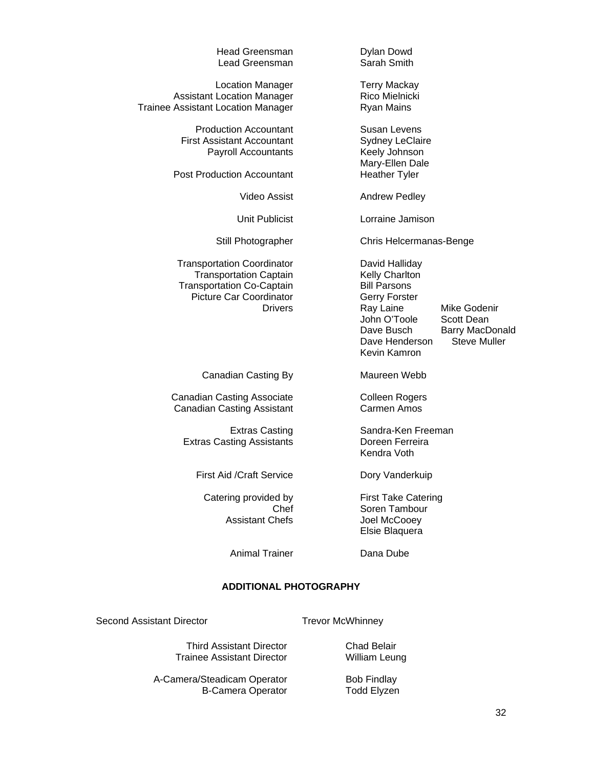| <b>Head Greensman</b><br>Lead Greensman                                                                                                                    | Dylan Dowd<br>Sarah Smith                                                                                                                                                                                                            |
|------------------------------------------------------------------------------------------------------------------------------------------------------------|--------------------------------------------------------------------------------------------------------------------------------------------------------------------------------------------------------------------------------------|
| <b>Location Manager</b><br><b>Assistant Location Manager</b><br><b>Trainee Assistant Location Manager</b>                                                  | <b>Terry Mackay</b><br>Rico Mielnicki<br><b>Ryan Mains</b>                                                                                                                                                                           |
| <b>Production Accountant</b><br><b>First Assistant Accountant</b><br><b>Payroll Accountants</b><br><b>Post Production Accountant</b>                       | <b>Susan Levens</b><br><b>Sydney LeClaire</b><br>Keely Johnson<br>Mary-Ellen Dale<br><b>Heather Tyler</b>                                                                                                                            |
| <b>Video Assist</b>                                                                                                                                        | <b>Andrew Pedley</b>                                                                                                                                                                                                                 |
| Unit Publicist                                                                                                                                             | Lorraine Jamison                                                                                                                                                                                                                     |
| Still Photographer                                                                                                                                         | Chris Helcermanas-Benge                                                                                                                                                                                                              |
| <b>Transportation Coordinator</b><br><b>Transportation Captain</b><br><b>Transportation Co-Captain</b><br><b>Picture Car Coordinator</b><br><b>Drivers</b> | David Halliday<br>Kelly Charlton<br><b>Bill Parsons</b><br>Gerry Forster<br>Ray Laine<br>Mike Godenir<br>John O'Toole<br>Scott Dean<br>Dave Busch<br><b>Barry MacDonald</b><br>Dave Henderson<br><b>Steve Muller</b><br>Kevin Kamron |
| Canadian Casting By                                                                                                                                        | Maureen Webb                                                                                                                                                                                                                         |
| <b>Canadian Casting Associate</b><br><b>Canadian Casting Assistant</b>                                                                                     | <b>Colleen Rogers</b><br><b>Carmen Amos</b>                                                                                                                                                                                          |
| - - -                                                                                                                                                      |                                                                                                                                                                                                                                      |

Extras Casting **Sandra-Ken Freeman**<br> **Sandra-Ken Ferreira**<br> **Doreen Ferreira** Extras Casting Assistants

First Aid /Craft Service Dory Vanderkuip

Catering provided by First Take Catering<br>Chef Soren Tambour Assistant Chefs **Joel McCooey** 

Animal Trainer **Dana Dube** 

Kendra Voth

Soren Tambour

Elsie Blaquera

## **ADDITIONAL PHOTOGRAPHY**

Second Assistant Director Trevor McWhinney

Third Assistant Director<br>
ainee Assistant Director<br>
William Leung Trainee Assistant Director

A-Camera/Steadicam Operator Bob Findlay<br>B-Camera Operator Fodd Elyzen B-Camera Operator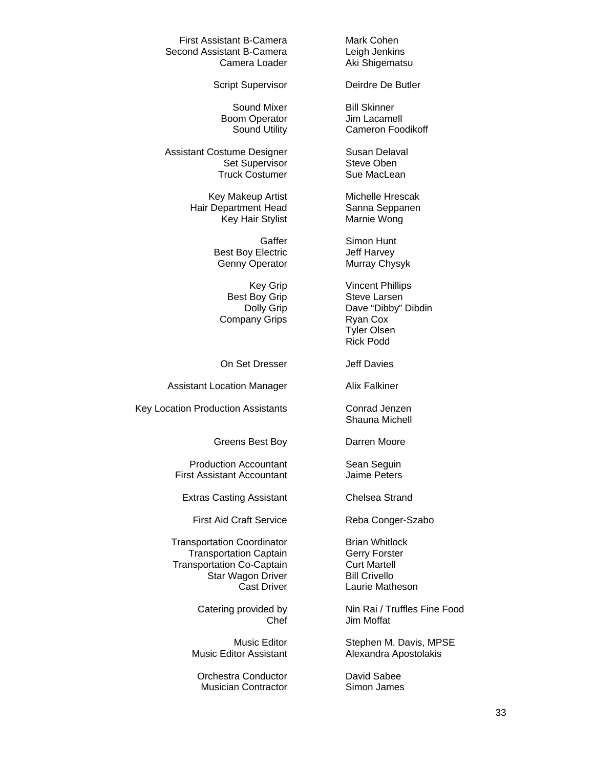First Assistant B-Camera Mark Cohen Second Assistant B-Camera **Leigh Jenkins** 

Boom Operator **Jim Lacamell** 

Assistant Costume Designer Susan Delaval Set Supervisor Steve Oben Truck Costumer Sue MacLean

Hair Department Head Sanna Seppanen Key Hair Stylist **Marnie Wong** 

Best Boy Electric **Jeff Harvey** 

Company Grips **Ryan Cox** 

On Set Dresser **Jeff Davies** 

Assistant Location Manager Alix Falkiner

Key Location Production Assistants **Conrad Jenzen** 

Greens Best Boy **Darren Moore** 

Production Accountant Sean Seguin<br>
Sean Seguin St Assistant Accountant First Assistant Accountant

Extras Casting Assistant Chelsea Strand

First Aid Craft Service Reba Conger-Szabo

Transportation Coordinator **Brian Whitlock** Transportation Captain **Gerry Forster** Transportation Co-Captain **Curt Martell** Star Wagon Driver Bill Crivello

Orchestra Conductor **David Sabee** Musician Contractor Simon James

Camera Loader **Aki Shigematsu** 

Script Supervisor **Deirdre De Butler** 

Sound Mixer Bill Skinner Sound Utility Cameron Foodikoff

Key Makeup Artist Michelle Hrescak

Gaffer Simon Hunt Genny Operator Murray Chysyk

Key Grip Vincent Phillips Best Boy Grip Steve Larsen Dolly Grip Dave "Dibby" Dibdin Tyler Olsen Rick Podd

Shauna Michell

Cast Driver **Laurie Matheson** 

Catering provided by Nin Rai / Truffles Fine Food Chef Jim Moffat

Music Editor **Stephen M. Davis, MPSE** Music Editor Assistant **Alexandra Apostolakis**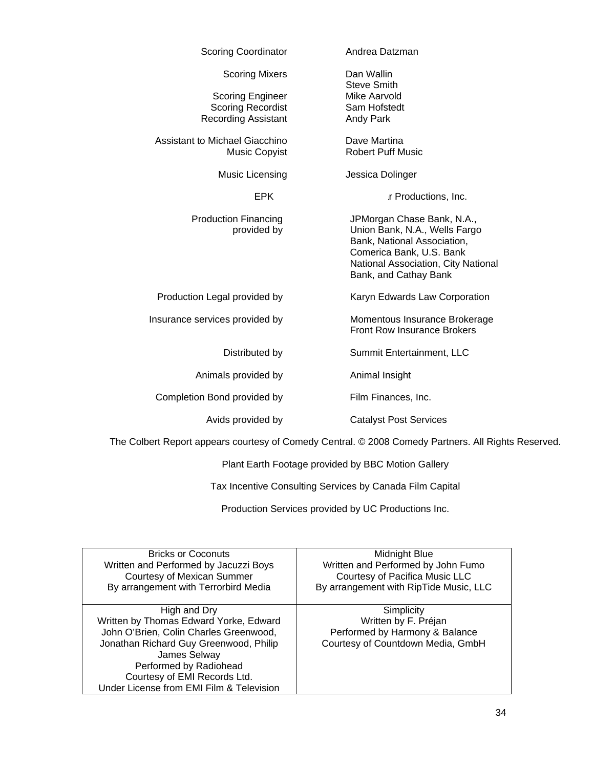| <b>Scoring Coordinator</b>                 | Andrea Datzman                                                                                                                                                                         |
|--------------------------------------------|----------------------------------------------------------------------------------------------------------------------------------------------------------------------------------------|
| <b>Scoring Mixers</b>                      | Dan Wallin<br><b>Steve Smith</b>                                                                                                                                                       |
| <b>Scoring Engineer</b>                    | <b>Mike Aarvold</b>                                                                                                                                                                    |
| <b>Scoring Recordist</b>                   | Sam Hofstedt                                                                                                                                                                           |
| <b>Recording Assistant</b>                 | Andy Park                                                                                                                                                                              |
| Assistant to Michael Giacchino             | Dave Martina                                                                                                                                                                           |
| <b>Music Copyist</b>                       | <b>Robert Puff Music</b>                                                                                                                                                               |
| Music Licensing                            | Jessica Dolinger                                                                                                                                                                       |
| <b>EPK</b>                                 | ir Productions, Inc.                                                                                                                                                                   |
| <b>Production Financing</b><br>provided by | JPMorgan Chase Bank, N.A.,<br>Union Bank, N.A., Wells Fargo<br>Bank, National Association,<br>Comerica Bank, U.S. Bank<br>National Association, City National<br>Bank, and Cathay Bank |
| Production Legal provided by               | Karyn Edwards Law Corporation                                                                                                                                                          |
| Insurance services provided by             | Momentous Insurance Brokerage<br>Front Row Insurance Brokers                                                                                                                           |
| Distributed by                             | Summit Entertainment, LLC                                                                                                                                                              |
| Animals provided by                        | Animal Insight                                                                                                                                                                         |
| Completion Bond provided by                | Film Finances, Inc.                                                                                                                                                                    |
| Avids provided by                          | <b>Catalyst Post Services</b>                                                                                                                                                          |

The Colbert Report appears courtesy of Comedy Central. © 2008 Comedy Partners. All Rights Reserved.

Plant Earth Footage provided by BBC Motion Gallery

Tax Incentive Consulting Services by Canada Film Capital

Production Services provided by UC Productions Inc.

| <b>Bricks or Coconuts</b>                | Midnight Blue                          |
|------------------------------------------|----------------------------------------|
| Written and Performed by Jacuzzi Boys    | Written and Performed by John Fumo     |
| <b>Courtesy of Mexican Summer</b>        | Courtesy of Pacifica Music LLC         |
| By arrangement with Terrorbird Media     | By arrangement with RipTide Music, LLC |
|                                          |                                        |
| High and Dry                             | Simplicity                             |
| Written by Thomas Edward Yorke, Edward   | Written by F. Préjan                   |
| John O'Brien, Colin Charles Greenwood,   | Performed by Harmony & Balance         |
| Jonathan Richard Guy Greenwood, Philip   | Courtesy of Countdown Media, GmbH      |
| James Selway                             |                                        |
| Performed by Radiohead                   |                                        |
| Courtesy of EMI Records Ltd.             |                                        |
| Under License from EMI Film & Television |                                        |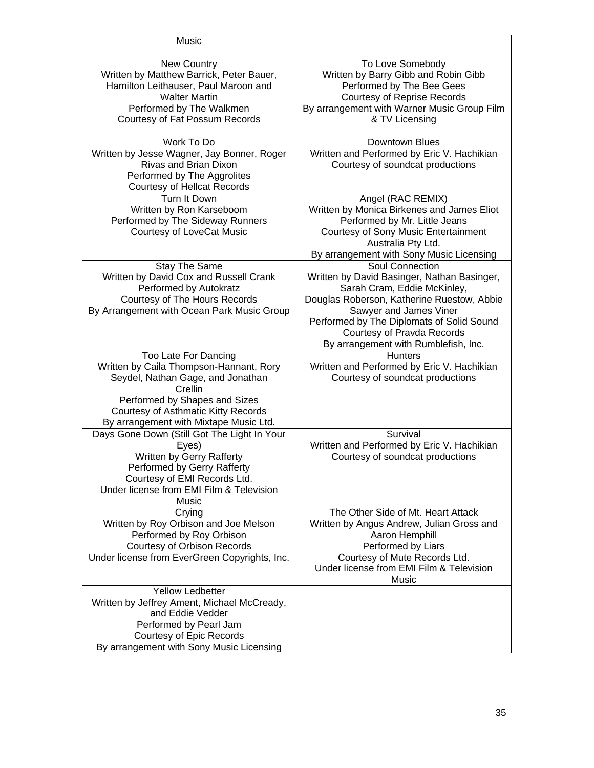| Music                                                                                                                                                                                                                             |                                                                                                                                                                                                                                                                                                 |
|-----------------------------------------------------------------------------------------------------------------------------------------------------------------------------------------------------------------------------------|-------------------------------------------------------------------------------------------------------------------------------------------------------------------------------------------------------------------------------------------------------------------------------------------------|
| <b>New Country</b><br>Written by Matthew Barrick, Peter Bauer,<br>Hamilton Leithauser, Paul Maroon and<br><b>Walter Martin</b><br>Performed by The Walkmen<br>Courtesy of Fat Possum Records                                      | To Love Somebody<br>Written by Barry Gibb and Robin Gibb<br>Performed by The Bee Gees<br><b>Courtesy of Reprise Records</b><br>By arrangement with Warner Music Group Film<br>& TV Licensing                                                                                                    |
| Work To Do<br>Written by Jesse Wagner, Jay Bonner, Roger<br>Rivas and Brian Dixon<br>Performed by The Aggrolites<br><b>Courtesy of Hellcat Records</b>                                                                            | Downtown Blues<br>Written and Performed by Eric V. Hachikian<br>Courtesy of soundcat productions                                                                                                                                                                                                |
| Turn It Down<br>Written by Ron Karseboom<br>Performed by The Sideway Runners<br><b>Courtesy of LoveCat Music</b>                                                                                                                  | Angel (RAC REMIX)<br>Written by Monica Birkenes and James Eliot<br>Performed by Mr. Little Jeans<br>Courtesy of Sony Music Entertainment<br>Australia Pty Ltd.<br>By arrangement with Sony Music Licensing                                                                                      |
| <b>Stay The Same</b><br>Written by David Cox and Russell Crank<br>Performed by Autokratz<br>Courtesy of The Hours Records<br>By Arrangement with Ocean Park Music Group                                                           | <b>Soul Connection</b><br>Written by David Basinger, Nathan Basinger,<br>Sarah Cram, Eddie McKinley,<br>Douglas Roberson, Katherine Ruestow, Abbie<br>Sawyer and James Viner<br>Performed by The Diplomats of Solid Sound<br>Courtesy of Pravda Records<br>By arrangement with Rumblefish, Inc. |
| Too Late For Dancing<br>Written by Caila Thompson-Hannant, Rory<br>Seydel, Nathan Gage, and Jonathan<br>Crellin<br>Performed by Shapes and Sizes<br>Courtesy of Asthmatic Kitty Records<br>By arrangement with Mixtape Music Ltd. | <b>Hunters</b><br>Written and Performed by Eric V. Hachikian<br>Courtesy of soundcat productions                                                                                                                                                                                                |
| Days Gone Down (Still Got The Light In Your<br>Eyes)<br>Written by Gerry Rafferty<br>Performed by Gerry Rafferty<br>Courtesy of EMI Records Ltd.<br>Under license from EMI Film & Television<br>Music                             | Survival<br>Written and Performed by Eric V. Hachikian<br>Courtesy of soundcat productions                                                                                                                                                                                                      |
| Crying<br>Written by Roy Orbison and Joe Melson<br>Performed by Roy Orbison<br><b>Courtesy of Orbison Records</b><br>Under license from EverGreen Copyrights, Inc.                                                                | The Other Side of Mt. Heart Attack<br>Written by Angus Andrew, Julian Gross and<br>Aaron Hemphill<br>Performed by Liars<br>Courtesy of Mute Records Ltd.<br>Under license from EMI Film & Television<br>Music                                                                                   |
| Yellow Ledbetter<br>Written by Jeffrey Ament, Michael McCready,<br>and Eddie Vedder<br>Performed by Pearl Jam<br>Courtesy of Epic Records<br>By arrangement with Sony Music Licensing                                             |                                                                                                                                                                                                                                                                                                 |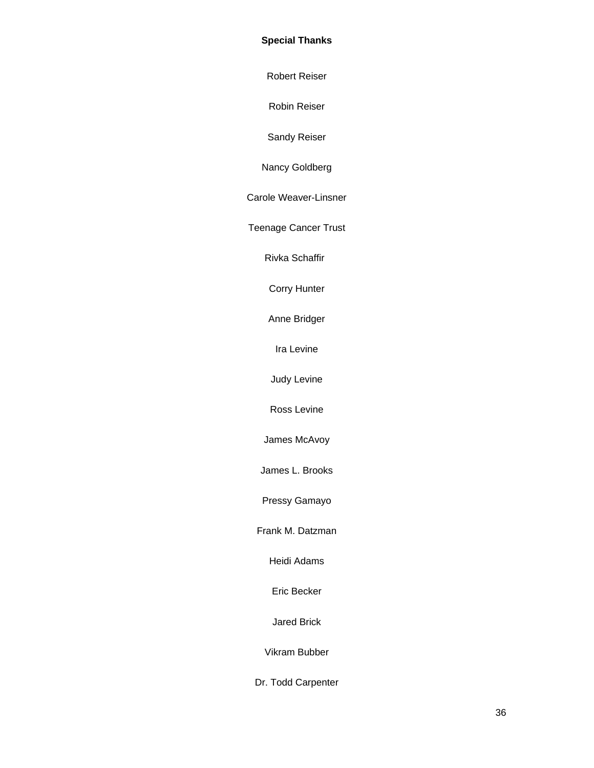## **Special Thanks**

Robert Reiser

Robin Reiser

Sandy Reiser

Nancy Goldberg

Carole Weaver-Linsner

Teenage Cancer Trust

Rivka Schaffir

Corry Hunter

Anne Bridger

Ira Levine

Judy Levine

Ross Levine

James McAvoy

James L. Brooks

Pressy Gamayo

Frank M. Datzman

Heidi Adams

Eric Becker

Jared Brick

Vikram Bubber

Dr. Todd Carpenter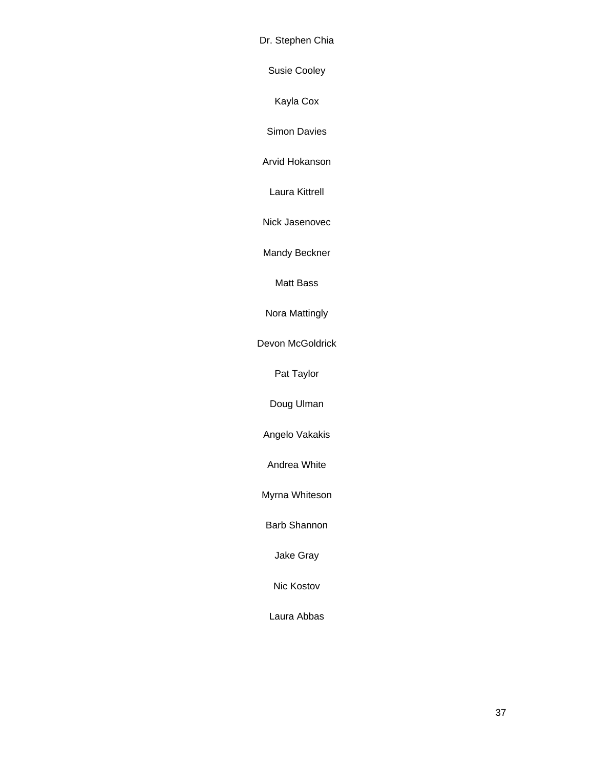Dr. Stephen Chia

Susie Cooley

Kayla Cox

Simon Davies

Arvid Hokanson

Laura Kittrell

Nick Jasenovec

Mandy Beckner

Matt Bass

Nora Mattingly

Devon McGoldrick

Pat Taylor

Doug Ulman

Angelo Vakakis

Andrea White

Myrna Whiteson

Barb Shannon

Jake Gray

Nic Kostov

Laura Abbas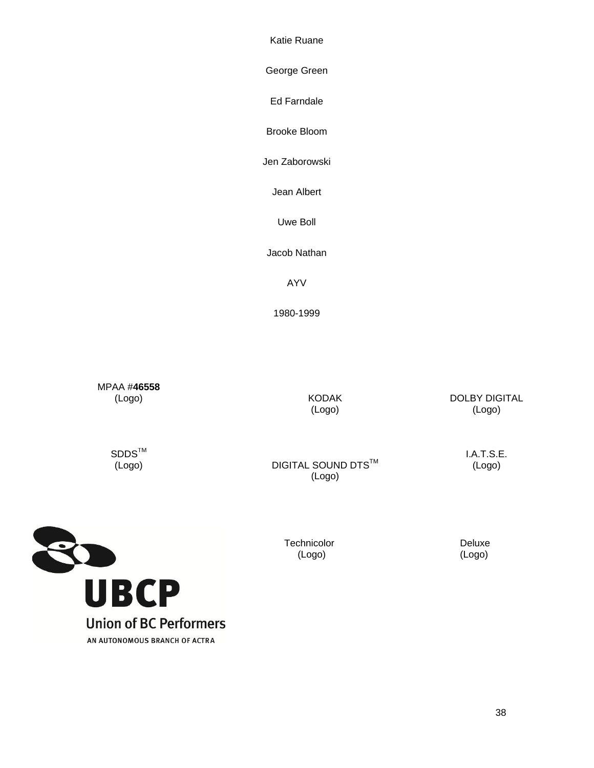Katie Ruane

George Green

Ed Farndale

Brooke Bloom

Jen Zaborowski

Jean Albert

Uwe Boll

Jacob Nathan

AYV

1980-1999

MPAA #**46558** (Logo)

KODAK (Logo)

DOLBY DIGITAL (Logo)

 $\texttt{SDDS}^{\texttt{TM}}$ (Logo)

**DIGITAL SOUND DTS™** (Logo)

> Technicolor (Logo)

I.A.T.S.E. (Logo)



 Deluxe (Logo)